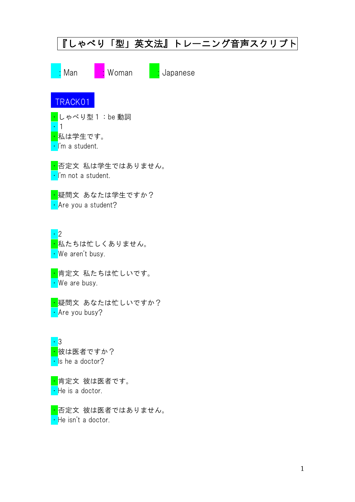| 『しゃべり「型」英文法』トレーニング音声スクリプト                                             |
|-----------------------------------------------------------------------|
| Woman<br>Man<br>Japanese                                              |
| TRACK01                                                               |
| $\vert$ しゃべり型 1 : be 動詞<br><mark>・</mark> 私は学生です。<br>· I'm a student. |
| <mark>・</mark> 否定文 私は学生ではありません。<br>· I'm not a student.               |
| <mark>・</mark> 疑問文 あなたは学生ですか?<br>• Are you a student?                 |
| - 2<br><mark>・</mark> 私たちは忙しくありません。<br>• We aren't busy.              |
| <mark>・</mark> 肯定文 私たちは忙しいです。<br>• We are busy.                       |
| <mark>―疑問文 あなたは忙しいですか?</mark><br>• Are you busy?                      |
| - 3<br><mark>・</mark> 彼は医者ですか?<br>. Is he a doctor?                   |
| <mark>・</mark> 肯定文 彼は医者です。<br>He is a doctor.                         |
| <mark>・</mark> 否定文 彼は医者ではありません。<br>• He isn't a doctor.               |
|                                                                       |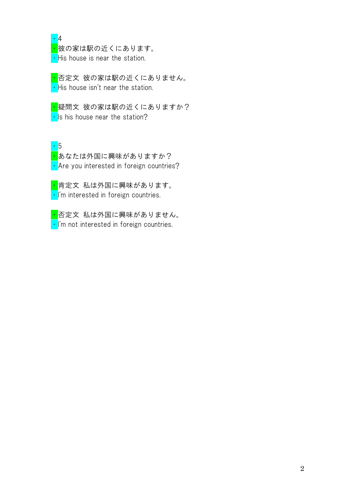・4

<mark>・</mark><br>・彼の家は駅の近くにあります。  $\cdot$  His house is near the station.

<mark>・</mark>否定文 彼の家は駅の近くにありません。  $\cdot$  His house isn't near the station.

<mark>・</mark>疑問文 彼の家は駅の近くにありますか?  $\cdot$  Is his house near the station?

・5 <mark>・</mark>あなたは外国に興味がありますか? • Are you interested in foreign countries?

<mark>・</mark>肯定文 私は外国に興味があります。  $\cdot$  I'm interested in foreign countries.

<mark>・</mark>否定文 私は外国に興味がありません。  $\cdot$  I'm not interested in foreign countries.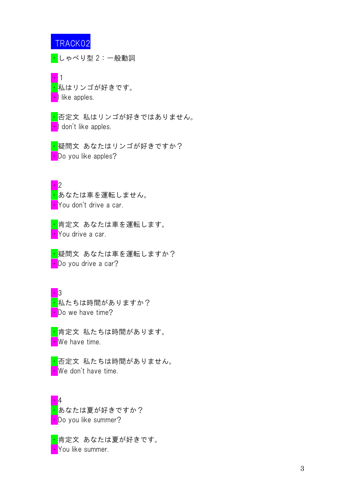<mark>・</mark>しゃべり型 2:一般動詞



<mark>・</mark>否定文 私はリンゴが好きではありません。 • I don't like apples.

<mark>・</mark>疑問文 あなたはリンゴが好きですか? **•** Do you like apples?

・2 <mark>・</mark>あなたは車を運転しません。 • You don't drive a car.

<mark>・</mark>肯定文 あなたは車を運転します。 • You drive a car.

<mark>・</mark>疑問文 あなたは車を運転しますか? **•** Do you drive a car?

 $\overline{\phantom{a}}$  3 <mark>・</mark>私たちは時間がありますか? • Do we have time?

<mark>・</mark>肯定文 私たちは時間があります。 • We have time.

<mark>・</mark>否定文 私たちは時間がありません。 • We don't have time.

・4 <mark>・</mark>あなたは夏が好きですか? • Do you like summer?

<mark>・</mark>肯定文 あなたは夏が好きです。 • You like summer.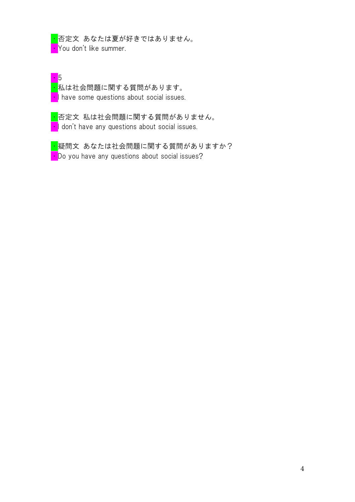<mark>・</mark>否定文 あなたは夏が好きではありません。 ・You don't like summer.

・5 <mark>・</mark>私は社会問題に関する質問があります。  $\cdot$  I have some questions about social issues.

<mark>・</mark>否定文 私は社会問題に関する質問がありません。 I don't have any questions about social issues.

<mark>・</mark>疑問文 あなたは社会問題に関する質問がありますか? • Do you have any questions about social issues?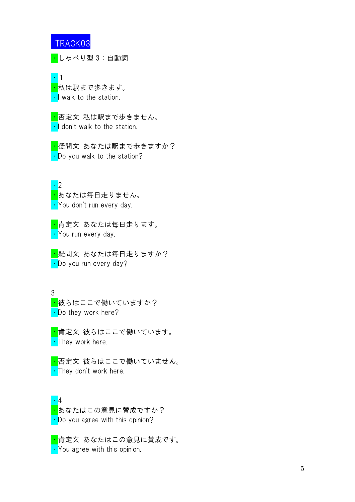<mark>・</mark>しゃべり型 3:自動詞

・1 <mark>・</mark>私は駅まで歩きます。 • I walk to the station.

<mark>・</mark>否定文 私は駅まで歩きません。 • I don't walk to the station.

<mark>・</mark>疑問文 あなたは駅まで歩きますか? • Do you walk to the station?

・2 <mark>・</mark>あなたは毎日走りません。 ・You don't run every day.

<mark>・</mark>肯定文 あなたは毎日走ります。 • You run every day.

<mark>・</mark>疑問文 あなたは毎日走りますか? • Do you run every day?

3

<mark>・</mark>彼らはここで働いていますか? • Do they work here?

<mark>・</mark>肯定文 彼らはここで働いています。 • They work here.

<mark>・</mark>否定文 彼らはここで働いていません。 • They don't work here.

・4 <mark>・</mark>あなたはこの意見に賛成ですか? • Do you agree with this opinion?

<mark>・</mark>肯定文 あなたはこの意見に賛成です。 • You agree with this opinion.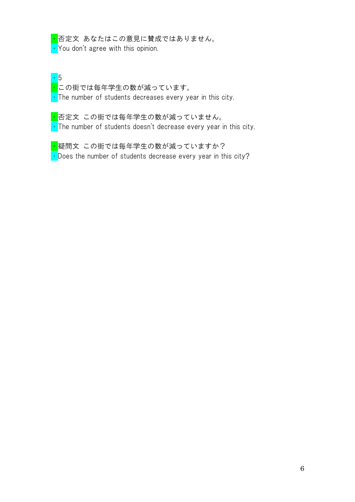<mark>・</mark>否定文 あなたはこの意見に賛成ではありません。 • You don't agree with this opinion.

・5 ー<sup>-</sup><br><mark>・</mark>この街では毎年学生の数が減っています。  $\cdot$  The number of students decreases every year in this city.

<mark>・</mark>否定文 この街では毎年学生の数が減っていません。  $\cdot$  The number of students doesn't decrease every year in this city.

<mark>・</mark>疑問文 この街では毎年学生の数が減っていますか?  $\cdot$  Does the number of students decrease every year in this city?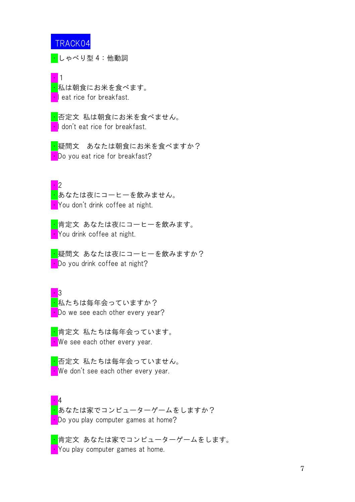・しゃべり型 4:他動詞

・1 <mark>・</mark>私は朝食にお米を食べます。 **·I** eat rice for breakfast.

<mark>・</mark>否定文 私は朝食にお米を食べません。 I don't eat rice for breakfast.

<mark>・</mark>疑問文 あなたは朝食にお米を食べますか? • Do you eat rice for breakfast?

・2 <mark>・</mark>あなたは夜にコーヒーを飲みません。 ・You don't drink coffee at night.

<mark>・</mark>肯定文 あなたは夜にコーヒーを飲みます。 You drink coffee at night.

<mark>・</mark>疑問文 あなたは夜にコーヒーを飲みますか? • Do you drink coffee at night?

 $\cdot$  3 <mark>・</mark>私たちは毎年会っていますか? • Do we see each other every year?

<mark>・</mark>肯定文 私たちは毎年会っています。  $\cdot$  We see each other every year.

<mark>・</mark>否定文 私たちは毎年会っていません。 **We don't see each other every year.** 

・4 <mark>・</mark>あなたは家でコンピューターゲームをしますか? • Do you play computer games at home?

<mark>・</mark>肯定文 あなたは家でコンピューターゲームをします。 **• You play computer games at home.**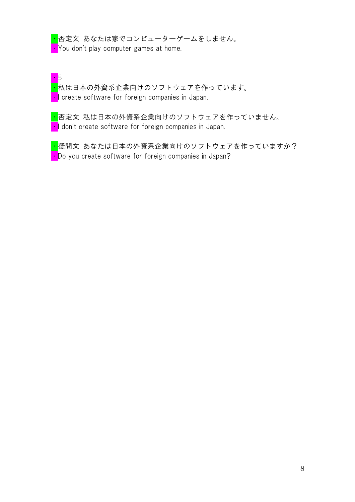<mark>・</mark>否定文 あなたは家でコンピューターゲームをしません。  $\cdot$  You don't play computer games at home.

・5

<mark>・</mark>私は日本の外資系企業向けのソフトウェアを作っています。 **I** create software for foreign companies in Japan.

<mark>・</mark>否定文 私は日本の外資系企業向けのソフトウェアを作っていません。 • I don't create software for foreign companies in Japan.

<mark>・</mark>疑問文 あなたは日本の外資系企業向けのソフトウェアを作っていますか?  $\cdot$  Do you create software for foreign companies in Japan?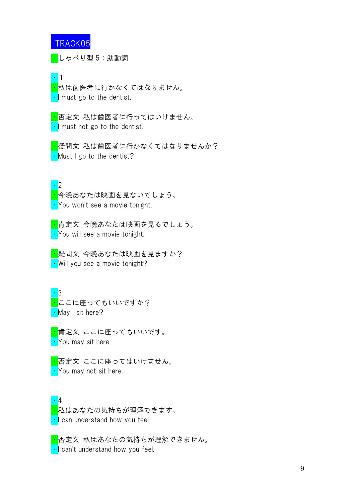$\overline{\cdot}$ しゃべり型 5:助動詞

・1

<mark>・</mark>私は歯医者に行かなくてはなりません。  $\cdot$  I must go to the dentist.

<mark>・</mark>否定文 私は歯医者に行ってはいけません。  $\cdot$  I must not go to the dentist.

<mark>・</mark>疑問文 私は歯医者に行かなくてはなりませんか?  $\cdot$  Must I go to the dentist?

・2

<mark>・</mark>今晩あなたは映画を見ないでしょう。 ・You won't see a movie tonight.

<mark>・</mark>肯定文 今晩あなたは映画を見るでしょう。 • You will see a movie tonight.

<mark>・</mark>疑問文 今晩あなたは映画を見ますか? • Will you see a movie tonight?

 $\cdot$  3 <mark>・</mark>ここに座ってもいいですか? • May I sit here?

<mark>・</mark>肯定文 ここに座ってもいいです。 • You may sit here.

<mark>・</mark>否定文 ここに座ってはいけません。 • You may not sit here.

・4 <mark>・</mark>私はあなたの気持ちが理解できます。 ・I can understand how you feel.

<mark>・</mark>否定文 私はあなたの気持ちが理解できません。 ・I can't understand how you feel.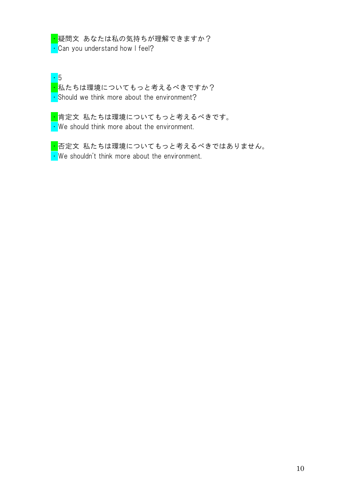<mark>・</mark>疑問文 あなたは私の気持ちが理解できますか?  $\cdot$  Can you understand how I feel?

・5 <mark>・</mark><br><mark>・</mark>私たちは環境についてもっと考えるべきですか? • Should we think more about the environment?

<mark>・</mark>肯定文 私たちは環境についてもっと考えるべきです。 • We should think more about the environment.

<mark>・</mark>否定文 私たちは環境についてもっと考えるべきではありません。  $\cdot$  We shouldn't think more about the environment.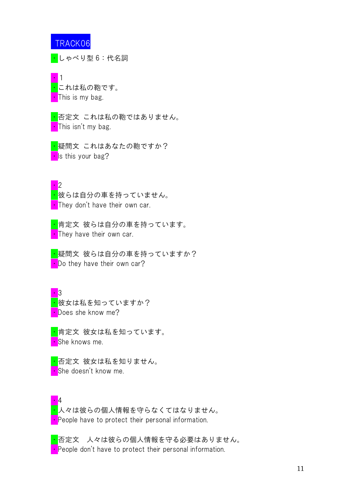<mark>・</mark>しゃべり型 6:代名詞



<mark>・</mark>否定文 これは私の鞄ではありません。 • This isn't my bag.

<mark>・</mark>疑問文 これはあなたの鞄ですか? • Is this your bag?

・2

<mark>・</mark>彼らは自分の車を持っていません。 **They don't have their own car.** 

<mark>・</mark>肯定文 彼らは自分の車を持っています。 **They have their own car.** 

<mark>・</mark>疑問文 彼らは自分の車を持っていますか? • Do they have their own car?

 $\cdot$  3 <mark>・</mark>彼女は私を知っていますか? • Does she know me?

<mark>・</mark>肯定文 彼女は私を知っています。 <mark>•</mark>She knows me.

<mark>・</mark>否定文 彼女は私を知りません。 • She doesn't know me.

・4 <mark>・</mark>人々は彼らの個人情報を守らなくてはなりません。 • People have to protect their personal information.

<mark>・</mark>否定文 人々は彼らの個人情報を守る必要はありません。 • People don't have to protect their personal information.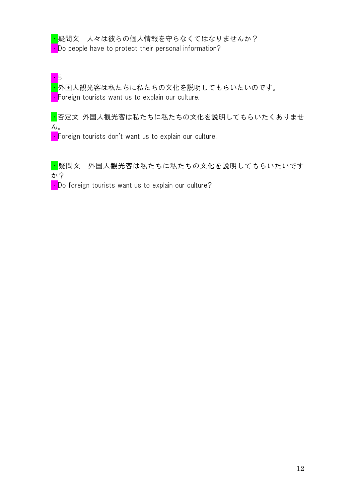<mark>・</mark>疑問文 人々は彼らの個人情報を守らなくてはなりませんか? • Do people have to protect their personal information?

・5

・外国人観光客は私たちに私たちの文化を説明してもらいたいのです。  $\cdot$  Foreign tourists want us to explain our culture.

■ 否定文 外国人観光客は私たちに私たちの文化を説明してもらいたくありませ  $\mathcal{L}_{\circ}$ 

• Foreign tourists don't want us to explain our culture.

■ 疑問文 外国人観光客は私たちに私たちの文化を説明してもらいたいです か?

**• Do foreign tourists want us to explain our culture?**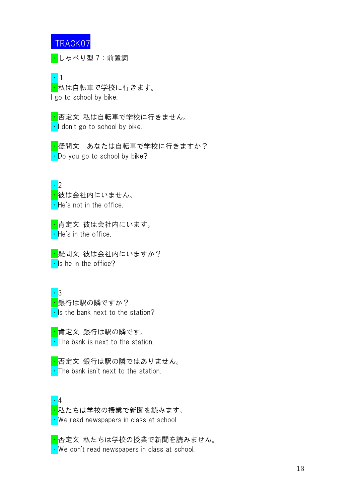・しゃべり型 7:前置詞

#### ・1 <mark>・</mark>私は自転車で学校に行きます。 I go to school by bike.

<mark>・</mark>否定文 私は自転車で学校に行きません。  $\cdot$  I don't go to school by bike.

<mark>・</mark>疑問文 あなたは自転車で学校に行きますか? • Do you go to school by bike?

・2 <mark>・</mark>彼は会社内にいません。  $\cdot$  He's not in the office.

<mark>・</mark>肯定文 彼は会社内にいます。  $\cdot$  He's in the office.

<mark>・</mark>疑問文 彼は会社内にいますか?  $\cdot$  Is he in the office?

・3 <mark>・</mark>銀行は駅の隣ですか?  $\cdot$  Is the bank next to the station?

<mark>・</mark>肯定文 銀行は駅の隣です。 • The bank is next to the station.

<mark>・</mark>否定文 銀行は駅の隣ではありません。 • The bank isn't next to the station.

・4 <mark>・</mark>私たちは学校の授業で新聞を読みます。 ・We read newspapers in class at school.

<mark>・</mark>否定文 私たちは学校の授業で新聞を読みません。 ・We don't read newspapers in class at school.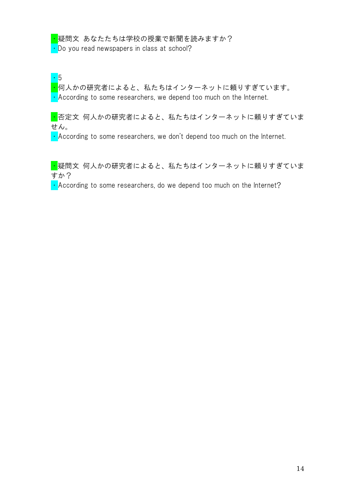<mark>・</mark>疑問文 あなたたちは学校の授業で新聞を読みますか? • Do you read newspapers in class at school?

・5

<mark>・</mark>何人かの研究者によると、私たちはインターネットに頼りすぎています。 ・According to some researchers, we depend too much on the Internet.

■ 否定文 何人かの研究者によると、私たちはインターネットに頼りすぎていま せん。

 $\cdot$  According to some researchers, we don't depend too much on the Internet.

■疑問文 何人かの研究者によると、私たちはインターネットに頼りすぎていま すか?

 $\cdot$  According to some researchers, do we depend too much on the Internet?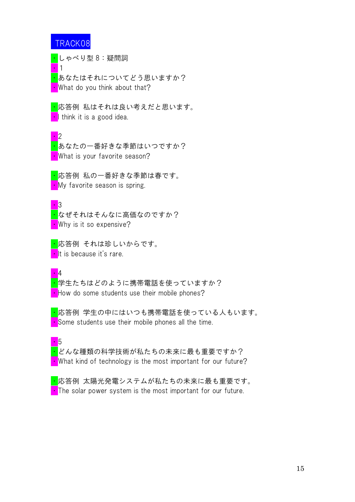・1

<mark>・</mark>しゃべり型 8:疑問詞

<mark>・</mark>あなたはそれについてどう思いますか? What do you think about that?

<mark>・</mark>応答例 私はそれは良い考えだと思います。  $\cdot$  I think it is a good idea.

・2 <mark>・</mark>あなたの一番好きな季節はいつですか? **What is your favorite season?** 

<mark>・</mark>応答例 私の一番好きな季節は春です。 **My** favorite season is spring.

・3

<mark>・</mark>なぜそれはそんなに高価なのですか? • Why is it so expensive?

<mark>・</mark>応答例 それは珍しいからです。 **I**t is because it's rare.

 $\cdot \mathbf{A}$ 

<mark>・</mark>学生たちはどのように携帯電話を使っていますか? • How do some students use their mobile phones?

・応答例 学生の中にはいつも携帯電話を使っている人もいます。  $\cdot$  Some students use their mobile phones all the time.

・5

・どんな種類の科学技術が私たちの未来に最も重要ですか?

• What kind of technology is the most important for our future?

<mark>・</mark>応答例 太陽光発電システムが私たちの未来に最も重要です。  $\cdot$  The solar power system is the most important for our future.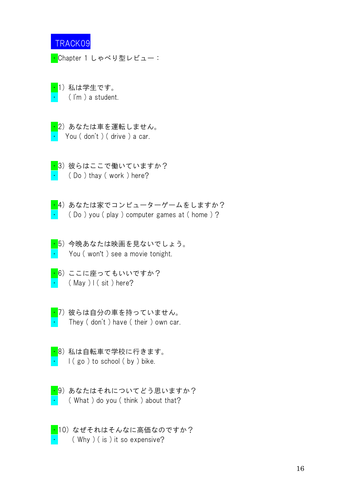<mark>・</mark>Chapter 1 しゃべり型レビュー:

・1) 私は学生です。 ( I'm ) a student.

<mark>・</mark>2)あなたは車を運転しません。 ・ You ( don't ) ( drive ) a car.

<mark>・</mark>3)彼はらにこで働いていますか?  $\cdot$  (Do) thay (work) here?

<mark>・</mark>4) あなたは家でコンピューターゲームをしますか?  $\cdot$  ( Do ) you ( play ) computer games at ( home ) ?

・5) 今晩あなたは映画を見ないでしょう。 You (won't) see a movie tonight.

- <mark>・</mark>6) ここに座ってもいいですか?  $\cdot$  (May ) I (sit) here?
- $\overline{\cdot}$ 7)彼らは自分の車を持っていません。 They (don't) have (their) own car.
- <mark>・</mark>8)私は自転車で学校に行きます。  $\vert$  (go ) to school (by ) bike.
- <mark>・</mark>9)あなたはそれについてどう思いますか? ( What ) do you ( think ) about that?
- ・10) なぜそれはそんなに高価なのですか?  $(Why)$  ( is ) it so expensive?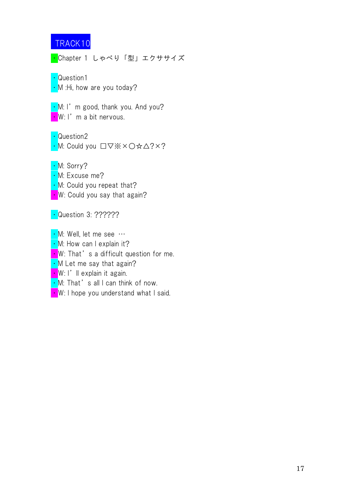<mark>・</mark>Chapter 1 しゃべり「型」エクササイズ

・Question1  $\cdot$  M :Hi, how are you today?

• M: I'm good, thank you. And you? **·** W: I'm a bit nervous.

・Question2 ・M: Could you □▽※×○☆△?×?

・M: Sorry?

• M: Excuse me?

• M: Could you repeat that?

• W: Could you say that again?

• Question 3: ??????

• M: Well, let me see …

• M: How can I explain it?

**W**: That's a difficult question for me.

 $\cdot$  M Let me say that again?

 $\cdot$  W: I'll explain it again.

 $\cdot$  M: That's all I can think of now.

**W**: I hope you understand what I said.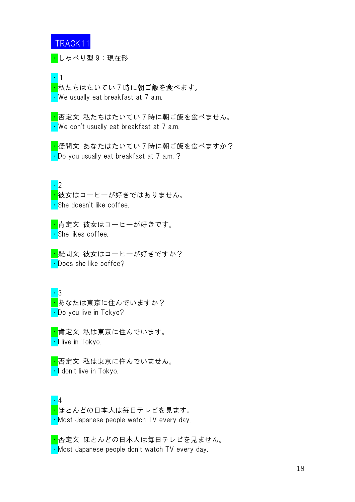<mark>・</mark>しゃべり型 9:現在形

・1 <mark>・</mark>私たちはたいてい 7 時に朝ご飯を食べます。 • We usually eat breakfast at 7 a.m.

<mark>・</mark>否定文 私たちはたいてい 7 時に朝ご飯を食べません。 ・We don't usually eat breakfast at 7 a.m.

<mark>・</mark>疑問文 あなたはたいてい7時に朝ご飯を食べますか? • Do you usually eat breakfast at 7 a.m.?

・2

<mark>・</mark>彼女はコーヒーが好きではありません。 ・She doesn't like coffee.

<mark>・</mark>肯定文 彼女はコーヒーが好きです。 . She likes coffee.

<mark>・</mark>疑問文 彼女はコーヒーが好きですか? • Does she like coffee?

・3 <mark>・</mark>あなたは東京に住んでいますか? ・Do you live in Tokyo?

<mark>・</mark>肯定文 私は東京に住んでいます。 <mark>•I</mark> live in Tokyo.

<mark>・</mark>否定文 私は東京に住んでいません。 ・I don't live in Tokyo.

・4 <mark>・</mark>ほとんどの日本人は毎日テレビを見ます。 ・Most Japanese people watch TV every day.

<mark>・</mark>否定文 ほとんどの日本人は毎日テレビを見ません。 ・Most Japanese people don't watch TV every day.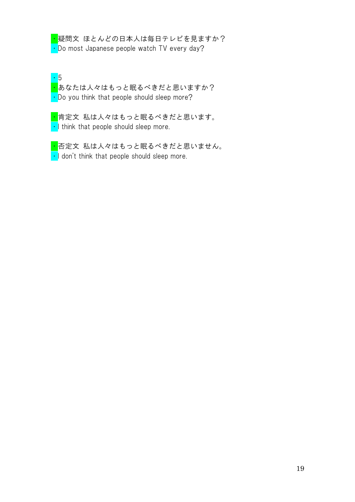<mark>・</mark>疑問文 ほとんどの日本人は毎日テレビを見ますか? • Do most Japanese people watch TV every day?

・5 <mark>・</mark>あなたは人々はもっと眠るべきだと思いますか? • Do you think that people should sleep more?

<mark>・</mark>肯定文 私は人々はもっと眠るべきだと思います。  $\cdot$  I think that people should sleep more.

<mark>・</mark>否定文 私は人々はもっと眠るべきだと思いません。  $\cdot$  I don't think that people should sleep more.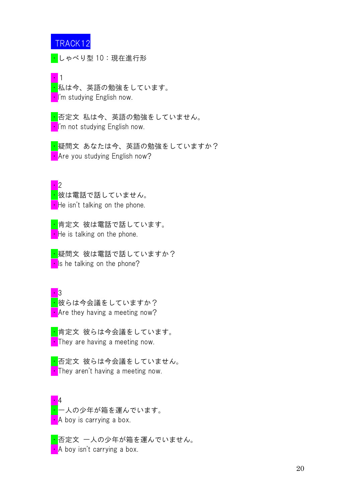<mark>・</mark>しゃべり型 10:現在進行形

・1 <mark>・</mark>私は今、英語の勉強をしています。 <mark>•I</mark>'m studying English now.

<mark>・</mark>否定文 私は今、英語の勉強をしていません。 •I'm not studying English now.

<mark>・</mark>疑問文 あなたは今、英語の勉強をしていますか? • Are you studying English now?

 $\cdot \cdot$ <mark>・</mark>彼は電話で話していません。  $\cdot$  He isn't talking on the phone.

<mark>・</mark>肯定文 彼は電話で話しています。  $\blacksquare$  He is talking on the phone.

<mark>・</mark>疑問文 彼は電話で話していますか?  $\blacksquare$  Is he talking on the phone?

 $\cdot$  3 <mark>・</mark>彼らは今会議をしていますか? • Are they having a meeting now?

<mark>・</mark>肯定文 彼らは今会議をしています。 **They are having a meeting now.** 

<mark>・</mark>否定文 彼らは今会議をしていません。  $\cdot$  They aren't having a meeting now.

・4 <mark>・</mark>一人の少年が箱を運んでいます。 **A** boy is carrying a box.

■ 否定文 一人の少年が箱を運んでいません。 ・A boy isn't carrying a box.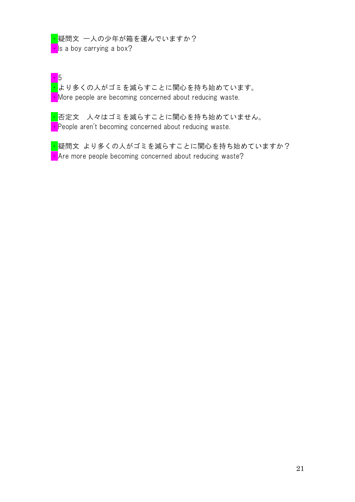<mark>・</mark>疑問文 一人の少年が箱を運んでいますか?  $\overline{\phantom{a}}$  is a boy carrying a box?

・5 <mark>・</mark>より多くの人がゴミを減らすことに関心を持ち始めています。 • More people are becoming concerned about reducing waste.

<mark>・</mark>否定文 人々はゴミを減らすことに関心を持ち始めていません。 • People aren't becoming concerned about reducing waste.

<mark>・</mark>疑問文 より多くの人がゴミを減らすことに関心を持ち始めていますか?  $\cdot$  Are more people becoming concerned about reducing waste?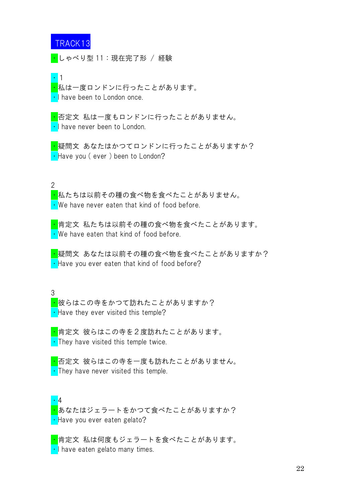・しゃべり型 11:現在完了形 / 経験

・1

<mark>・</mark>私は一度ロンドンに行ったことがあります。 • I have been to London once.

<mark>・</mark>否定文 私は一度もロンドンに行ったことがありません。 • I have never been to London.

<mark>・</mark>疑問文 あなたはかつてロンドンに行ったことがありますか? • Have you (ever) been to London?

 $\mathfrak{D}$ 

・私たちは以前その種の食べ物を食べたことがありません。 ・We have never eaten that kind of food before.

<mark>・</mark>肯定文 私たちは以前その種の食べ物を食べたことがあります。 ・We have eaten that kind of food before.

<mark>・</mark>疑問文 あなたは以前その種の食べ物を食べたことがありますか?  $\cdot$  Have you ever eaten that kind of food before?

3

<mark>・</mark>彼らはこの寺をかつて訪れたことがありますか?  $\cdot$  Have they ever visited this temple?

<mark>・</mark>肯定文 彼らはこの寺を2度訪れたことがあります。 • They have visited this temple twice.

<mark>・</mark>否定文 彼らはこの寺を一度も訪れたことがありません。  $\cdot$  They have never visited this temple.

・4 <mark>・</mark>あなたはジェラートをかつて食べたことがありますか? ・Have you ever eaten gelato?

<mark>・</mark>肯定文 私は何度もジェラートを食べたことがあります。 • I have eaten gelato many times.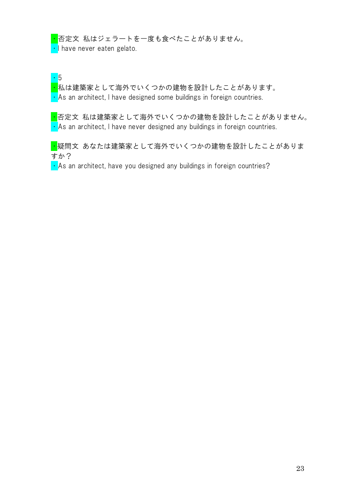<mark>・</mark>否定文 私はジェラートを一度も食べたことがありません。

• I have never eaten gelato.

・5

<mark>・</mark>私は建築家として海外でいくつかの建物を設計したことがあります。  $\cdot$  As an architect, I have designed some buildings in foreign countries.

<mark>・</mark>否定文 私は建築家として海外でいくつかの建物を設計したことがありません。  $\cdot$  As an architect, I have never designed any buildings in foreign countries.

<mark>・</mark>疑問文 あなたは建築家として海外でいくつかの建物を設計したことがありま すか?

 $\cdot$  As an architect, have you designed any buildings in foreign countries?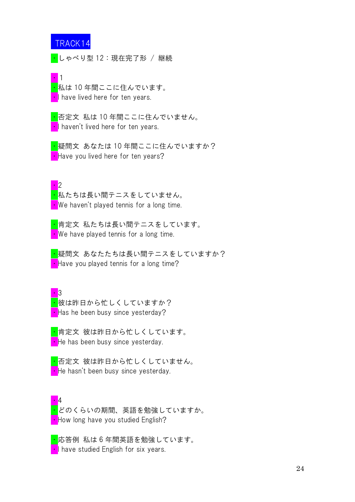・しゃべり型 12:現在完了形 / 継続

■1 <mark>・</mark>私は 10 年間ここに住んでいます。 **I** have lived here for ten years.

<mark>・</mark>否定文 私は 10 年間ここに住んでいません。 I haven't lived here for ten years.

<mark>・</mark>疑問文 あなたは 10 年間ここに住んでいますか? • Have you lived here for ten years?

 $\cdot \cdot$ <mark>・</mark>私たちは長い間テニスをしていません。 • We haven't played tennis for a long time.

<mark>・</mark>肯定文 私たちは長い間テニスをしています。 • We have played tennis for a long time.

<mark>・</mark>疑問文 あなたたちは長い間テニスをしていますか? • Have you played tennis for a long time?

 $\cdot$  3 <mark>・</mark>彼は昨日から忙しくしていますか?  $\blacksquare$  Has he been busy since yesterday?

<mark>・</mark>肯定文 彼は昨日から忙しくしています。 • He has been busy since yesterday.

<mark>・</mark>否定文 彼は昨日から忙しくしていません。 **He hasn't been busy since yesterday.** 

・4 <mark>・</mark>どのくらいの期間、英語を勉強していますか。 • How long have you studied English?

・応答例 私は 6 年間英語を勉強しています。 **I** have studied English for six years.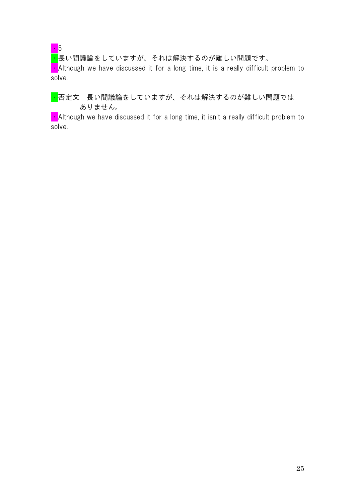# ・5

<mark>・</mark>長い間議論をしていますが、それは解決するのが難しい問題です。

 $\blacksquare$  Although we have discussed it for a long time, it is a really difficult problem to solve.

### <mark>・</mark>否定文 長い間議論をしていますが、それは解決するのが難しい問題では ありません。

 $\cdot$  Although we have discussed it for a long time, it isn't a really difficult problem to solve.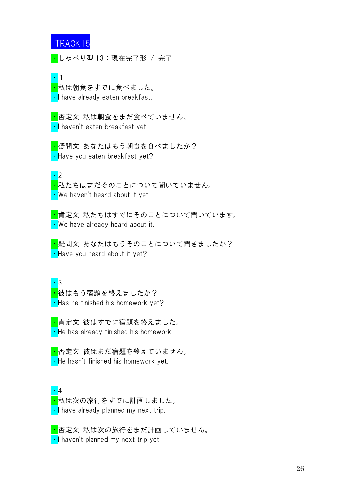<mark>・</mark>しゃべり型 13:現在完了形 / 完了

・1 <mark>・</mark>私は朝食をすでに食べました。 • I have already eaten breakfast.

<mark>・</mark>否定文 私は朝食をまだ食べていません。 ・I haven't eaten breakfast yet.

<mark>・</mark>疑問文 あなたはもう朝食を食べましたか? • Have you eaten breakfast yet?

・2

<mark>・</mark>私たちはまだそのことについて聞いていません。 ・We haven't heard about it yet.

<mark>・</mark>肯定文 私たちはすでにそのことについて聞いています。 • We have already heard about it.

<mark>・</mark>疑問文 あなたはもうそのことについて聞きましたか? • Have you heard about it yet?

・3 <mark>・</mark>彼はもう宿題を終えましたか?  $\cdot$  Has he finished his homework yet?

<mark>・</mark>肯定文 彼はすでに宿題を終えました。 • He has already finished his homework.

<mark>・</mark>否定文 彼はまだ宿題を終えていません。 • He hasn't finished his homework yet.

・4 <mark>・</mark>私は次の旅行をすでに計画しました。 • I have already planned my next trip.

<mark>・</mark>否定文 私は次の旅行をまだ計画していません。 • I haven't planned my next trip yet.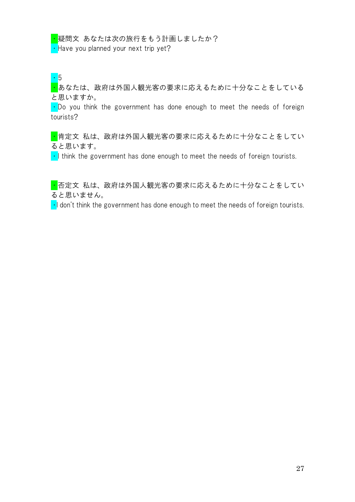<mark>・</mark>疑問文 あなたは次の旅行をもう計画しましたか? • Have you planned your next trip yet?

・5

・あなたは、政府は外国人観光客の要求に応えるために十分なことをしている と思いますか。

 $\cdot$  Do you think the government has done enough to meet the needs of foreign tourists?

■肯定文 私は、政府は外国人観光客の要求に応えるために十分なことをしてい ると思います。

 $\cdot$  I think the government has done enough to meet the needs of foreign tourists.

・否定文 私は、政府は外国人観光客の要求に応えるために十分なことをしてい ると思いません。

 $\cdot$ I don't think the government has done enough to meet the needs of foreign tourists.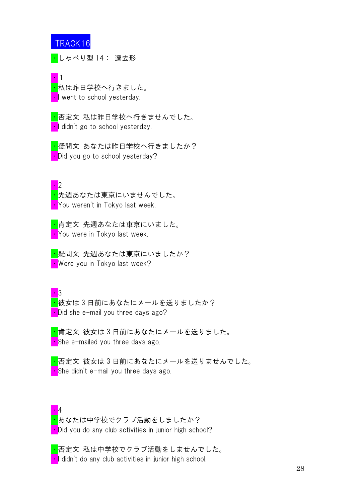<mark>・</mark>しゃべり型 14: 過去形

・1 <mark>・</mark>私は昨日学校へ行きました。 • went to school yesterday.

<mark>・</mark>否定文 私は昨日学校へ行きませんでした。 **I** didn't go to school yesterday.

<mark>・</mark>疑問文 あなたは昨日学校へ行きましたか? • Did you go to school yesterday?

・2 <mark>・</mark>先週あなたは東京にいませんでした。 **• You weren't in Tokyo last week.** 

<mark>・</mark>肯定文 先週あなたは東京にいました。 ・You were in Tokyo last week.

<mark>・</mark>疑問文 先週あなたは東京にいましたか? ・Were you in Tokyo last week?

 $\cdot$  3 <mark>・</mark>彼女は3日前にあなたにメールを送りましたか? • Did she e-mail you three days ago?

<mark>・</mark>肯定文 彼女は3日前にあなたにメールを送りました。 • She e-mailed you three days ago.

・否定文 彼女は 3 日前にあなたにメールを送りませんでした。  $\blacksquare$  She didn't e-mail you three days ago.

 $\cdot \mathbf{A}$ <mark>・</mark>あなたは中学校でクラブ活動をしましたか? **• Did you do any club activities in junior high school?** 

<mark>・</mark>否定文 私は中学校でクラブ活動をしませんでした。 I didn't do any club activities in junior high school.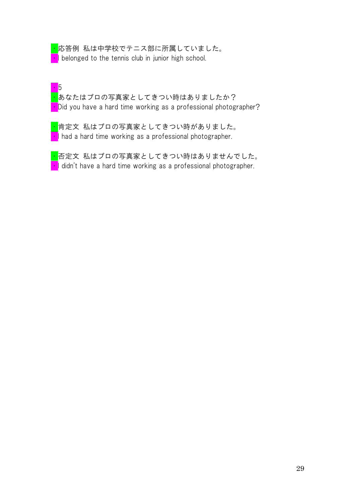<mark>・</mark>応答例 私は中学校でテニス部に所属していました。 **I** belonged to the tennis club in junior high school.

・5 <mark>・</mark>あなたはプロの写真家としてきつい時はありましたか? Did you have a hard time working as a professional photographer?

<mark>・</mark>肯定文 私はプロの写真家としてきつい時がありました。  $\cdot$  I had a hard time working as a professional photographer.

<mark>・</mark>否定文 私はプロの写真家としてきつい時はありませんでした。  $\cdot$  I didn't have a hard time working as a professional photographer.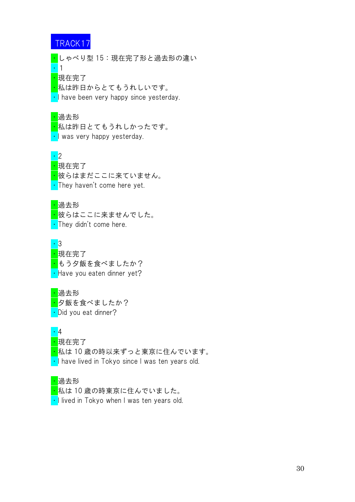・しゃべり型 15:現在完了形と過去形の違い ・1 <mark>・</mark>現在完了 <mark>・</mark>私は昨日からとてもうれしいです。

• I have been very happy since yesterday.

#### ・過去形

<mark>・</mark>私は昨日とてもうれしかったです。 • I was very happy yesterday.

#### ・2

<mark>·</mark>現在完了 <mark>・</mark>彼らはまだここに来ていません。 • They haven't come here yet.

#### ・過去形

<mark>・</mark>彼らはここに来ませんでした。 • They didn't come here.

 $\overline{3}$ <mark>·</mark>現在完了 <mark>・</mark>もう夕飯を食べましたか? • Have you eaten dinner yet?

#### ・過去形 <mark>・</mark>夕飯を食べましたか?

• Did you eat dinner?

#### ・4

- ・現在完了
- <mark>・</mark>私は 10 歳の時以来ずっと東京に住んでいます。
- I have lived in Tokyo since I was ten years old.

#### ・過去形

- ・私は 10 歳の時東京に住んでいました。
- I lived in Tokyo when I was ten years old.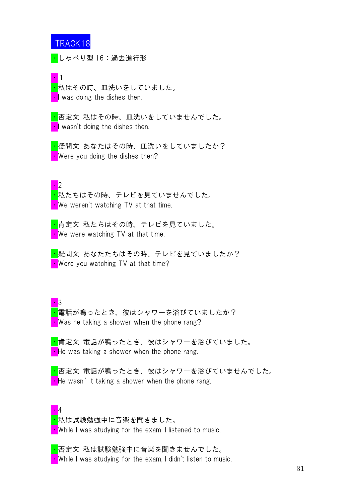・しゃべり型 16:過去進行形

■1 <mark>・</mark>私はその時、皿洗いをしていました。  $\blacksquare$  was doing the dishes then.

<mark>・</mark>否定文 私はその時、皿洗いをしていませんでした。  $\blacksquare$  wasn't doing the dishes then.

<mark>・</mark>疑問文 あなたはその時、皿洗いをしていましたか? • Were you doing the dishes then?

 $\cdot \cdot$ <mark>・</mark>私たちはその時、テレビを見ていませんでした。  $\blacksquare$  We weren't watching TV at that time.

<mark>・</mark>肯定文 私たちはその時、テレビを見ていました。 • We were watching TV at that time.

<mark>・</mark>疑問文 あなたたちはその時、テレビを見ていましたか? • Were you watching TV at that time?

・3 <mark>・</mark>電話が鳴ったとき、彼はシャワーを浴びていましたか? • Was he taking a shower when the phone rang?

<mark>・</mark>肯定文 電話が鳴ったとき、彼はシャワーを浴びていました。  $\cdot$  He was taking a shower when the phone rang.

<mark>・</mark>否定文 電話が鳴ったとき、彼はシャワーを浴びていませんでした。  $\cdot$  He wasn't taking a shower when the phone rang.

#### ・4

<mark>・</mark>私は試験勉強中に音楽を聞きました。 • While I was studying for the exam, I listened to music.

・否定文 私は試験勉強中に音楽を聞きませんでした。 • While I was studying for the exam, I didn't listen to music.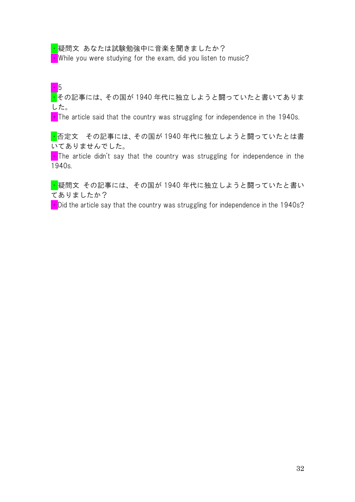<mark>・</mark>疑問文 あなたは試験勉強中に音楽を聞きましたか?

 $\cdot$  While you were studying for the exam, did you listen to music?

# ・5

・その記事には、その国が 1940 年代に独立しようと闘っていたと書いてありま した。

 $\blacksquare$  The article said that the country was struggling for independence in the 1940s.

■ 否定文 その記事には、その国が 1940 年代に独立しようと闘っていたとは書 いてありませんでした。

 $\blacksquare$  The article didn't say that the country was struggling for independence in the 1940s.

<mark>・</mark>疑問文 その記事には、その国が 1940 年代に独立しようと闘っていたと書い てありましたか?

 $\blacksquare$  Did the article say that the country was struggling for independence in the 1940s?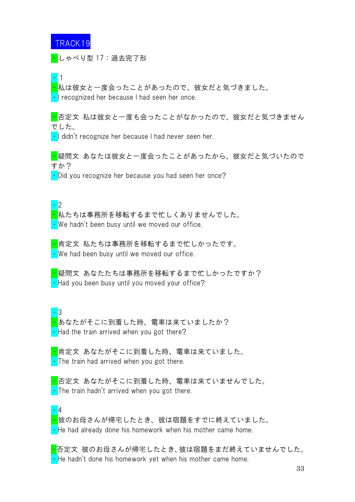<mark>・</mark>しゃべり型 17:過去完了形

・1

・私は彼女と一度会ったことがあったので、彼女だと気づきました。 • I recognized her because I had seen her once.

<mark>・</mark>否定文 私は彼女と一度も会ったことがなかったので、彼女だと気づきません でした。

• I didn't recognize her because I had never seen her.

<mark>・</mark>疑問文 あなたは彼女と一度会ったことがあったから、彼女だと気づいたので すか?

 $\cdot$  Did you recognize her because you had seen her once?

・2 ・私たちは事務所を移転するまで忙しくありませんでした。 ・We hadn't been busy until we moved our office.

<mark>・</mark>肯定文 私たちは事務所を移転するまで忙しかったです。 • We had been busy until we moved our office.

<mark>・</mark>疑問文 あなたたちは事務所を移転するまで忙しかったですか?  $\cdot$  Had you been busy until you moved your office?

・3 <mark>・</mark>あなたがそこに到着した時、電車は来ていましたか?  $\cdot$  Had the train arrived when you got there?

<mark>・</mark>肯定文 あなたがそこに到着した時、電車は来ていました。 • The train had arrived when you got there.

・否定文 あなたがそこに到着した時、電車は来ていませんでした。  $\cdot$  The train hadn't arrived when you got there.

#### ・4

<mark>・</mark>彼のお母さんが帰宅したとき、彼は宿題をすでに終えていました。  $\cdot$  He had already done his homework when his mother came home.

・否定文 彼のお母さんが帰宅したとき、彼は宿題をまだ終えていませんでした。  $\cdot$  He hadn't done his homework yet when his mother came home.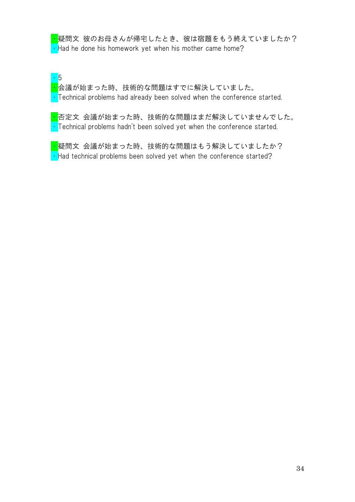<mark>・</mark>疑問文 彼のお母さんが帰宅したとき、彼は宿題をもう終えていましたか?  $\cdot$  Had he done his homework yet when his mother came home?

・5 <mark>・</mark>会議が始まった時、技術的な問題はすでに解決していました。  $\cdot$  Technical problems had already been solved when the conference started.

<mark>・</mark>否定文 会議が始まった時、技術的な問題はまだ解決していませんでした。  $\cdot$  Technical problems hadn't been solved yet when the conference started.

<mark>・</mark>疑問文 会議が始まった時、技術的な問題はもう解決していましたか?  $\cdot$  Had technical problems been solved yet when the conference started?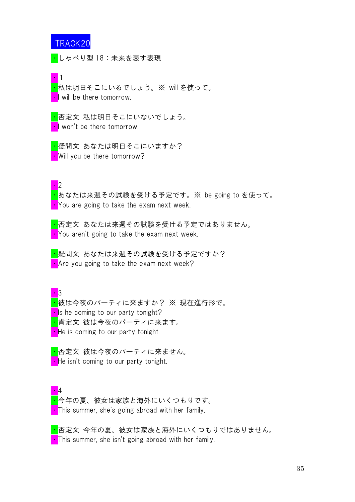

・しゃべり型 18:未来を表す表現

・1

・私は明日そこにいるでしょう。※ will を使って。 • I will be there tomorrow.

<mark>・</mark>否定文 私は明日そこにいないでしょう。 I won't be there tomorrow.

<mark>・</mark>疑問文 あなたは明日そこにいますか? • Will you be there tomorrow?

 $\blacksquare$ 

・あなたは来週その試験を受ける予定です。※ be going to を使って。 You are going to take the exam next week.

<mark>・</mark>否定文 あなたは来週その試験を受ける予定ではありません。 • You aren't going to take the exam next week.

<mark>・</mark>疑問文 あなたは来週その試験を受ける予定ですか?  $\blacksquare$  Are you going to take the exam next week?

 $\cdot$  3 <mark>・</mark>彼は今夜のパーティに来ますか? ※ 現在進行形で。  $\blacksquare$  Is he coming to our party tonight? <mark>・</mark>肯定文 彼は今夜のパーティに来ます。 • He is coming to our party tonight.

<mark>・</mark>否定文 彼は今夜のパーティに来ません。 • He isn't coming to our party tonight.

・4 <mark>・</mark>今年の夏、彼女は家族と海外にいくつもりです。 • This summer, she's going abroad with her family.

<mark>・</mark>否定文 今年の夏、彼女は家族と海外にいくつもりではありません。 **This summer, she isn't going abroad with her family.**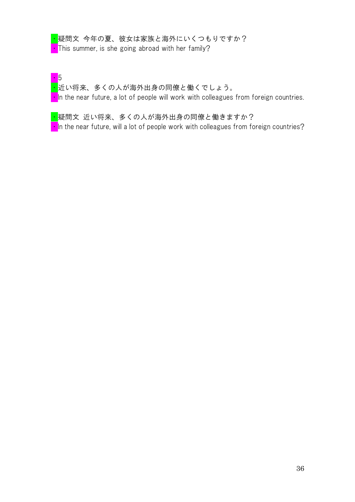### <mark>・</mark>疑問文 今年の夏、彼女は家族と海外にいくつもりですか? **This summer, is she going abroad with her family?**

・5 ・近い将来、多くの人が海外出身の同僚と働くでしょう。  $\blacksquare$  In the near future, a lot of people will work with colleagues from foreign countries.

<mark>・</mark>疑問文 近い将来、多くの人が海外出身の同僚と働きますか?  $\cdot$  In the near future, will a lot of people work with colleagues from foreign countries?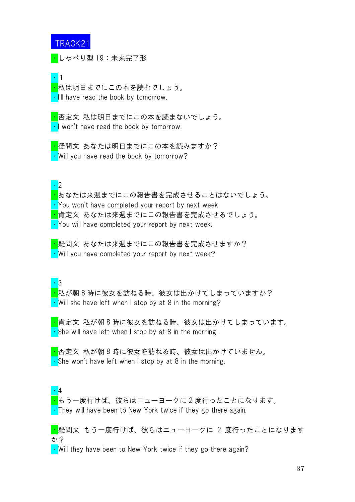<mark>・</mark>しゃべり型 19:未来完了形

・1

<mark>・</mark>私は明日までにこの本を読むでしょう。 • I'll have read the book by tomorrow.

<mark>・</mark>否定文 私は明日までにこの本を読まないでしょう。 ・I won't have read the book by tomorrow.

<mark>・</mark>疑問文 あなたは明日までにこの本を読みますか? • Will you have read the book by tomorrow?

・2

・あなたは来週までにこの報告書を完成させることはないでしょう。

・You won't have completed your report by next week.

<mark>・</mark>肯定文 あなたは来週までにこの報告書を完成させるでしょう。

・You will have completed your report by next week.

<mark>・</mark>疑問文 あなたは来週までにこの報告書を完成させますか? • Will you have completed your report by next week?

・3

<mark>・</mark>私が朝 8 時に彼女を訪ねる時、彼女は出かけてしまっていますか?  $\cdot$  Will she have left when I stop by at 8 in the morning?

・肯定文 私が朝 8 時に彼女を訪ねる時、彼女は出かけてしまっています。  $\cdot$  She will have left when I stop by at 8 in the morning.

・否定文 私が朝 8 時に彼女を訪ねる時、彼女は出かけていません。  $\cdot$  She won't have left when I stop by at 8 in the morning.

・4 <mark>・</mark>もう一度行けば、彼らはニューヨークに 2 度行ったことになります。 • They will have been to New York twice if they go there again.

■ 疑問文 もう一度行けば、彼らはニューヨークに 2 度行ったことになります か?

 $\cdot$  Will they have been to New York twice if they go there again?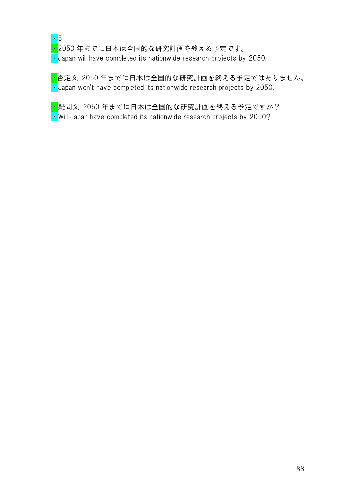

<mark>・</mark>2050 年までに日本は全国的な研究計画を終える予定です。 • Japan will have completed its nationwide research projects by 2050.

<mark>・</mark>否定文 2050 年までに日本は全国的な研究計画を終える予定ではありません。  $\cdot$  Japan won't have completed its nationwide research projects by 2050.

<mark>・</mark>疑問文 2050 年までに日本は全国的な研究計画を終える予定ですか?

• Will Japan have completed its nationwide research projects by 2050?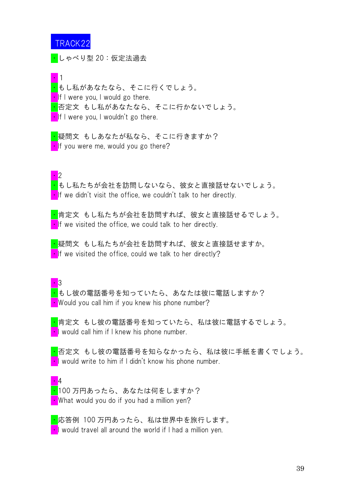<mark>・</mark>しゃべり型 20:仮定法過去

・1 <mark>・</mark>もし私があなたなら、そこに行くでしょう。  $\blacksquare$ If I were you, I would go there. <mark>・</mark>否定文 もし私があなたなら、そこに行かないでしょう。  $\cdot$  If I were you, I wouldn't go there.

<mark>・</mark>疑問文 もしあなたが私なら、そこに行きますか?  $\blacksquare$ If you were me, would you go there?

・2

・もし私たちが会社を訪問しないなら、彼女と直接話せないでしょう。  $\cdot$  If we didn't visit the office, we couldn't talk to her directly.

・肯定文 もし私たちが会社を訪問すれば、彼女と直接話せるでしょう。  $\blacksquare$ If we visited the office, we could talk to her directly.

<mark>・</mark>疑問文 もし私たちが会社を訪問すれば、彼女と直接話せますか。  $\cdot$  If we visited the office, could we talk to her directly?

・3 <mark>・</mark>もし彼の電話番号を知っていたら、あなたは彼に電話しますか? • Would you call him if you knew his phone number?

・肯定文 もし彼の電話番号を知っていたら、私は彼に電話するでしょう。 **I** would call him if I knew his phone number.

<mark>・</mark>否定文 もし彼の電話番号を知らなかったら、私は彼に手紙を書くでしょう。  $\cdot$  I would write to him if I didn't know his phone number.

・4 <mark>・</mark>100 万円あったら、あなたは何をしますか? • What would you do if you had a million yen?

・応答例 100 万円あったら、私は世界中を旅行します。  $\blacksquare$  would travel all around the world if I had a million yen.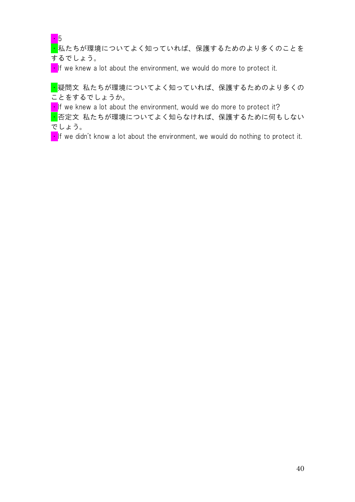・5

■私たちが環境についてよく知っていれば、保護するためのより多くのことを するでしょう。

 $\cdot$  If we knew a lot about the environment, we would do more to protect it.

・疑問文 私たちが環境についてよく知っていれば、保護するためのより多くの ことをするでしょうか。

 $\blacksquare$ If we knew a lot about the environment, would we do more to protect it?

■ 否定文 私たちが環境についてよく知らなければ、保護するために何もしない でしょう。

 $\blacksquare$ If we didn't know a lot about the environment, we would do nothing to protect it.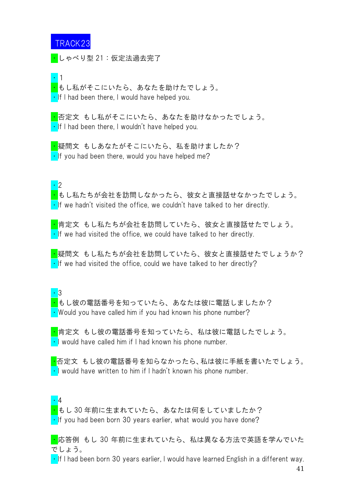<mark>・</mark>しゃべり型 21:仮定法過去完了

・1

・もし私がそこにいたら、あなたを助けたでしょう。  $\cdot$  If I had been there, I would have helped you.

・否定文 もし私がそこにいたら、あなたを助けなかったでしょう。  $\cdot$  If I had been there, I wouldn't have helped you.

<mark>・</mark>疑問文 もしあなたがそこにいたら、私を助けましたか?  $\cdot$  If you had been there, would you have helped me?

・2

・もし私たちが会社を訪問しなかったら、彼女と直接話せなかったでしょう。  $\cdot$  If we hadn't visited the office, we couldn't have talked to her directly.

<mark>・</mark>肯定文 もし私たちが会社を訪問していたら、彼女と直接話せたでしょう。  $\cdot$  If we had visited the office, we could have talked to her directly.

<mark>・</mark>疑問文 もし私たちが会社を訪問していたら、彼女と直接話せたでしょうか?  $\cdot$  If we had visited the office, could we have talked to her directly?

・3

・もし彼の電話番号を知っていたら、あなたは彼に電話しましたか?  $\cdot$  Would you have called him if you had known his phone number?

<mark>・</mark>肯定文 もし彼の電話番号を知っていたら、私は彼に電話したでしょう。  $\cdot$  I would have called him if I had known his phone number.

<mark>・</mark>否定文 もし彼の電話番号を知らなかったら、私は彼に手紙を書いたでしょう。  $\cdot$  I would have written to him if I hadn't known his phone number.

・4

・もし 30 年前に生まれていたら、あなたは何をしていましたか?  $\cdot$  If you had been born 30 years earlier, what would you have done?

<mark>・</mark>応答例 もし 30 年前に生まれていたら、私は異なる方法で英語を学んでいた でしょう。

 $\cdot$  If I had been born 30 years earlier, I would have learned English in a different way.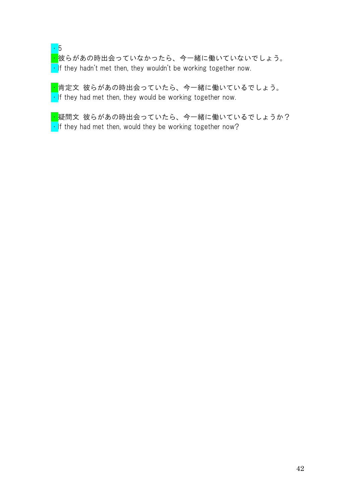### ・5

<mark>・</mark>彼らがあの時出会っていなかったら、今一緒に働いていないでしょう。  $\cdot$  If they hadn't met then, they wouldn't be working together now.

<mark>・</mark>肯定文 彼らがあの時出会っていたら、今一緒に働いているでしょう。  $\cdot$  If they had met then, they would be working together now.

<mark>・</mark>疑問文 彼らがあの時出会っていたら、今一緒に働いているでしょうか?  $\cdot$  If they had met then, would they be working together now?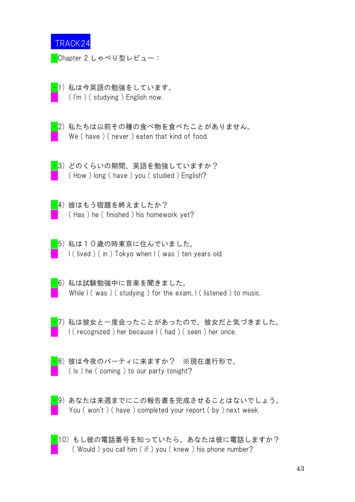<mark>・</mark>Chapter 2 しゃべり型レビュー:

- $\overline{\cdot}$ 1)私は今英語の勉強をしています。  $($  I'm  $)$  ( studying ) English now.
- <mark>·2</mark>)私たちは以前その種の食べ物を食べたことがありません。 We (have) (never) eaten that kind of food.

■3) どのくらいの期間、英語を勉強していますか?  $($  How  $)$  long  $($  have  $)$  you  $($  studied  $)$  English?

- <mark>・</mark>4) 彼はもう宿題を終えましたか?  $($  Has ) he  $($  finished ) his homework yet?
- ・5) 私は10歳の時東京に住んでいました。  $\vert$  ( lived ) ( in ) Tokyo when  $\vert$  ( was ) ten years old.
- ・6) 私は試験勉強中に音楽を聞きました。 While  $I$  (was ) (studying ) for the exam,  $I$  (listened ) to music.
- 
- $\overline{\cdot}$ 7) 私は彼女と一度会ったことがあったので、彼女だと気づきました。 ・ I ( recognized ) her because I ( had ) ( seen ) her once.



・8) 彼は今夜のパーティに来ますか? ※現在進行形で。  $($  ls  $)$  he ( coming ) to our party tonight?



 $\frac{1}{10}$ ) あなたは来週までにこの報告書を完成させることはないでしょう。 You ( won't ) ( have ) completed your report ( by ) next week.



· 10) もし彼の電話番号を知っていたら、あなたは彼に電話しますか? ( Would ) you call him (if ) you (knew ) his phone number?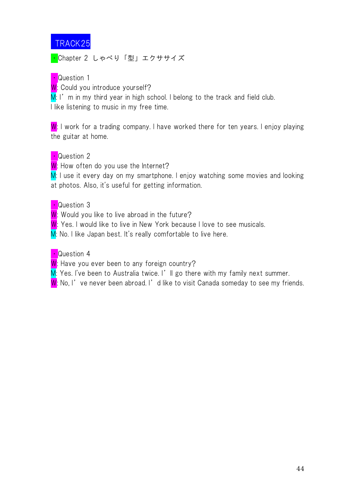<mark>・</mark>Chapter 2 しゃべり「型」エクササイズ

• Question 1

W: Could you introduce yourself?

 $M: I'$  m in my third year in high school. I belong to the track and field club. I like listening to music in my free time.

W: I work for a trading company. I have worked there for ten years. I enjoy playing the guitar at home.

## **・Question 2**

W: How often do you use the Internet?

M: I use it every day on my smartphone. I enjoy watching some movies and looking at photos. Also, it's useful for getting information.

## • Question 3

W: Would you like to live abroad in the future?

W: Yes. I would like to live in New York because I love to see musicals.

M: No. I like Japan best. It's really comfortable to live here.

## • Question 4

W: Have you ever been to any foreign country?

M: Yes. I've been to Australia twice. I'll go there with my family next summer.

W: No, I've never been abroad. I'd like to visit Canada someday to see my friends.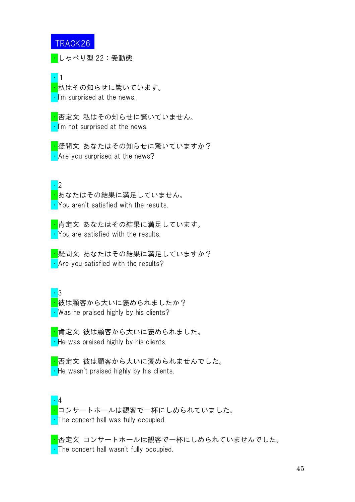<mark>・</mark>しゃべり型 22:受動態

・1 <mark>・</mark>私はその知らせに驚いています。 • I'm surprised at the news.

<mark>・</mark>否定文 私はその知らせに驚いていません。 • I'm not surprised at the news.

<mark>・</mark>疑問文 あなたはその知らせに驚いていますか? • Are you surprised at the news?

・2

<mark>・</mark>あなたはその結果に満足していません。 ・You aren't satisfied with the results.

<mark>・</mark>肯定文 あなたはその結果に満足しています。 • You are satisfied with the results.

<mark>・</mark>疑問文 あなたはその結果に満足していますか? • Are you satisfied with the results?

・3

<mark>・</mark>彼は顧客から大いに褒められましたか? • Was he praised highly by his clients?

<mark>・</mark>肯定文 彼は顧客から大いに褒められました。 **• He was praised highly by his clients.** 

<mark>・</mark>否定文 彼は顧客から大いに褒められませんでした。  $\cdot$  He wasn't praised highly by his clients.

・4 <mark>・</mark>コンサートホールは観客で一杯にしめられていました。 • The concert hall was fully occupied.

<mark>・</mark>否定文 コンサートホールは観客で一杯にしめられていませんでした。 ・The concert hall wasn't fully occupied.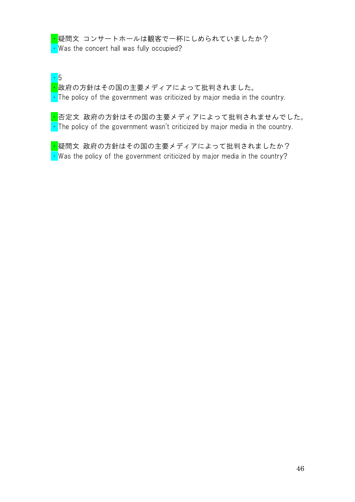<mark>・</mark>疑問文 コンサートホールは観客で一杯にしめられていましたか? • Was the concert hall was fully occupied?

・5 <mark>・</mark>政府の方針はその国の主要メディアによって批判されました。  $\cdot$  The policy of the government was criticized by major media in the country.

<mark>・</mark>否定文 政府の方針はその国の主要メディアによって批判されませんでした。  $\cdot$  The policy of the government wasn't criticized by major media in the country.

<mark>・</mark>疑問文 政府の方針はその国の主要メディアによって批判されましたか?  $\cdot$  Was the policy of the government criticized by major media in the country?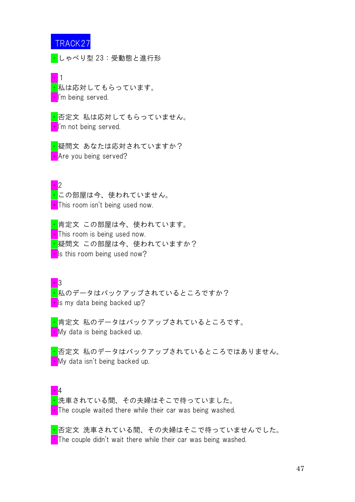・しゃべり型 23:受動態と進行形

・1 <mark>・</mark>私は応対してもらっています。 •I'm being served.

<mark>・</mark>否定文 私は応対してもらっていません。 I'm not being served.

<mark>・</mark>疑問文 あなたは応対されていますか? • Are you being served?

・2 <mark>・</mark>この部屋は今、使われていません。 **This room isn't being used now.** 

<mark>・</mark>肯定文 この部屋は今、使われています。 **This room is being used now.** <mark>・</mark>疑問文 この部屋は今、使われていますか?  $\blacksquare$  Is this room being used now?

・3 <mark>・</mark>私のデータはバックアップされているところですか?  $\blacksquare$  Is my data being backed up?

<mark>・</mark>肯定文 私のデータはバックアップされているところです。 • My data is being backed up.

<mark>・</mark>否定文 私のデータはバックアップされているところではありません。 **Ny data isn't being backed up.** 

・4 <mark>・</mark>洗車されている間、その夫婦はそこで待っていました。 • The couple waited there while their car was being washed.

・否定文 洗車されている間、その夫婦はそこで待っていませんでした。  $\cdot$  The couple didn't wait there while their car was being washed.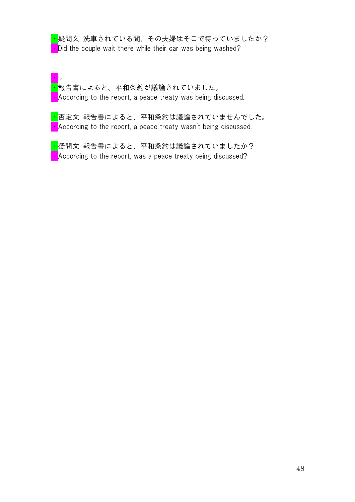<mark>・</mark>疑問文 洗車されている間、その夫婦はそこで待っていましたか? Did the couple wait there while their car was being washed?

・5 <mark>・</mark>報告書によると、平和条約が議論されていました。 • According to the report, a peace treaty was being discussed.

<mark>・</mark>否定文 報告書によると、平和条約は議論されていませんでした。 ・According to the report, a peace treaty wasn't being discussed.

<mark>・</mark>疑問文 報告書によると、平和条約は議論されていましたか? • According to the report, was a peace treaty being discussed?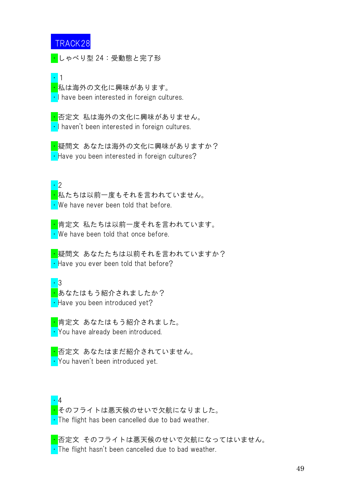<mark>・</mark>しゃべり型 24:受動態と完了形

#### ・1

<mark>・</mark>私は海外の文化に興味があります。 • I have been interested in foreign cultures.

<mark>・</mark>否定文 私は海外の文化に興味がありません。  $\cdot$  | haven't been interested in foreign cultures.

<mark>・</mark>疑問文 あなたは海外の文化に興味がありますか? • Have you been interested in foreign cultures?

・2

<mark>・</mark>私たちは以前一度もそれを言われていません。 ・We have never been told that before.

<mark>・</mark>肯定文 私たちは以前一度それを言われています。 • We have been told that once before.

<mark>・</mark>疑問文 あなたたちは以前それを言われていますか? • Have you ever been told that before?

#### ・3 <mark>・</mark>あなたはもう紹介されましたか? • Have you been introduced yet?

<mark>・</mark>肯定文 あなたはもう紹介されました。 ・You have already been introduced.

<mark>・</mark>否定文 あなたはまだ紹介されていません。 ・You haven't been introduced yet.

・4 <mark>・</mark>そのフライトは悪天候のせいで欠航になりました。 • The flight has been cancelled due to bad weather.

<mark>・</mark>否定文 そのフライトは悪天候のせいで欠航になってはいません。  $\cdot$  The flight hasn't been cancelled due to bad weather.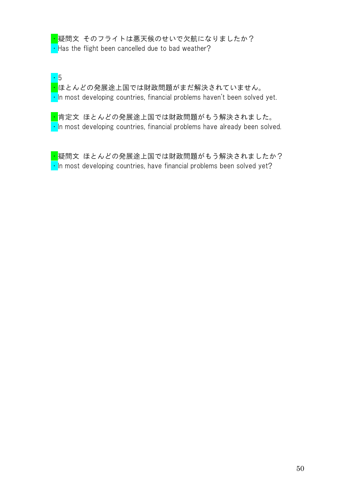<mark>・</mark>疑問文 そのフライトは悪天候のせいで欠航になりましたか?  $\cdot$  Has the flight been cancelled due to bad weather?

・5 <mark>・</mark>ほとんどの発展途上国では財政問題がまだ解決されていません。  $\cdot$  In most developing countries, financial problems haven't been solved yet.

<mark>・</mark>肯定文 ほとんどの発展途上国では財政問題がもう解決されました。  $\cdot$  In most developing countries, financial problems have already been solved.

<mark>・</mark>疑問文 ほとんどの発展途上国では財政問題がもう解決されましたか?  $\cdot$  In most developing countries, have financial problems been solved yet?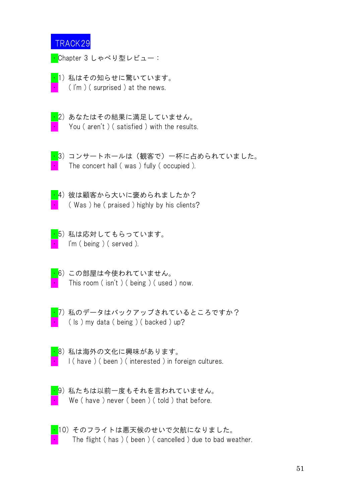<mark>・</mark>Chapter 3 しゃべり型レビュー:

- $\overline{\cdot}$ 1)私はその知らせに驚いています。  $($  I'm  $)$  ( surprised ) at the news.
- $\cdot$ 2) あなたはその結果に満足していません。 You ( aren't ) ( satisfied ) with the results.



<mark>・</mark>3)コンサートホールは(観客で)一杯に占められていました。 The concert hall (was) fully (occupied).



<mark>・</mark>4) 彼は顧客から大いに褒められましたか? ( Was ) he ( praised ) highly by his clients?

- ・5) 私は応対してもらっています。 I'm ( being ) ( served ).
- ・6) この部屋は今使われていません。 This room ( isn't ) ( being ) ( used ) now.
- 
- <mark>・</mark>7)私のデータはバックアップされているところですか?  $($  ls  $)$  my data ( being ) ( backed ) up?
- <mark>・</mark>8)私は海外の文化に興味があります。 I (have ) (been ) (interested ) in foreign cultures.
- <mark>・</mark>9)私たちは以前一度もそれを言われていません。 We (have ) never ( been ) ( told ) that before.
- ・10) そのフライトは悪天候のせいで欠航になりました。 The flight (has ) (been ) (cancelled) due to bad weather.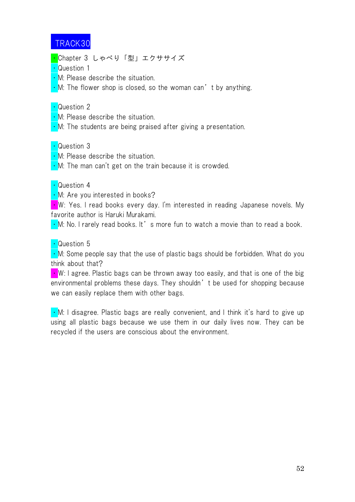<mark>・</mark>Chapter 3 しゃべり「型」エクササイズ

- Question 1
- $\cdot$  M: Please describe the situation.
- $\cdot$  M: The flower shop is closed, so the woman can't by anything.

• Question 2

- ・M: Please describe the situation.
- $\cdot$  M: The students are being praised after giving a presentation.

・Question 3

- . M: Please describe the situation.
- $\cdot$  M: The man can't get on the train because it is crowded.

#### ・Question 4

• M: Are you interested in books?

 $\cdot$  W: Yes. I read books every day. I'm interested in reading Japanese novels. My favorite author is Haruki Murakami.

 $\cdot$  M: No. I rarely read books. It's more fun to watch a movie than to read a book.

### • Question 5

 $\cdot$  M: Some people say that the use of plastic bags should be forbidden. What do you think about that?

 $\blacksquare$  W: I agree. Plastic bags can be thrown away too easily, and that is one of the big environmental problems these days. They shouldn't be used for shopping because we can easily replace them with other bags.

• M: I disagree. Plastic bags are really convenient, and I think it's hard to give up using all plastic bags because we use them in our daily lives now. They can be recycled if the users are conscious about the environment.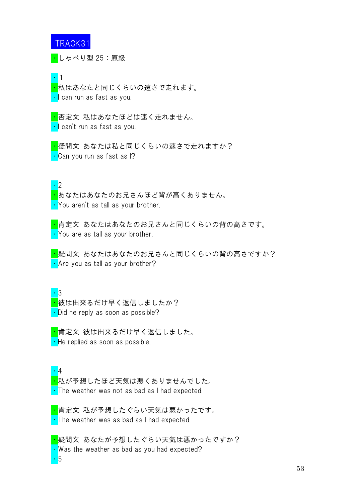・しゃべり型 25:原級

・1

<mark>・</mark>私はあなたと同じくらいの速さで走れます。 <mark>·</mark>I can run as fast as you.

<mark>・</mark>否定文 私はあなたほどは速く走れません。 ・I can't run as fast as you.

<mark>・</mark>疑問文 あなたは私と同じくらいの速さで走れますか? <mark>・</mark>Can you run as fast as l?

・2

・あなたはあなたのお兄さんほど背が高くありません。 • You aren't as tall as your brother.

<mark>・</mark>肯定文 あなたはあなたのお兄さんと同じくらいの背の高さです。 • You are as tall as your brother.

<mark>・</mark>疑問文 あなたはあなたのお兄さんと同じくらいの背の高さですか? • Are you as tall as your brother?

・3

<mark>・</mark>彼は出来るだけ早く返信しましたか?  $\cdot$  Did he reply as soon as possible?

<mark>・</mark>肯定文 彼は出来るだけ早く返信しました。  $\cdot$  He replied as soon as possible.

・4 <mark>・</mark>私が予想したほど天気は悪くありませんでした。  $\cdot$  The weather was not as bad as I had expected.

<mark>・</mark>肯定文 私が予想したぐらい天気は悪かったです。 • The weather was as bad as I had expected.

<mark>・</mark>疑問文 あなたが予想したぐらい天気は悪かったですか?  $\cdot$  Was the weather as bad as you had expected? ・5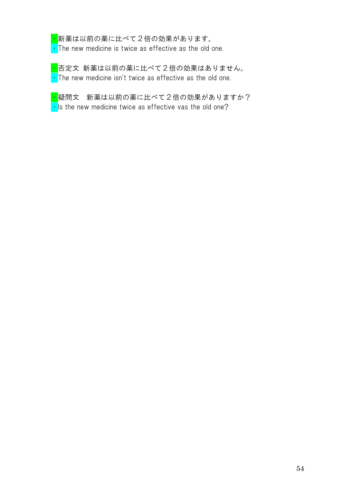<mark>・</mark>新薬は以前の薬に比べて2倍の効果があります。

 $\cdot$  The new medicine is twice as effective as the old one.

<mark>・</mark>否定文 新薬は以前の薬に比べて2倍の効果はありません。  $\cdot$  The new medicine isn't twice as effective as the old one.

<mark>・</mark>疑問文 新薬は以前の薬に比べて2倍の効果がありますか?  $\cdot$  Is the new medicine twice as effective vas the old one?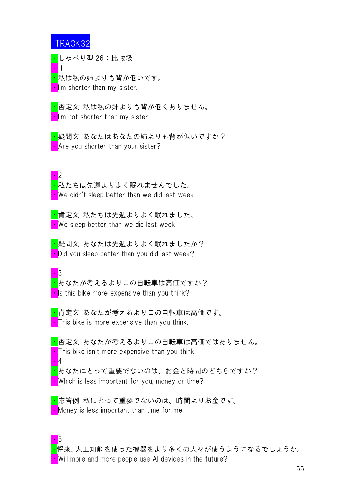<mark>・</mark>しゃべり型 26:比較級

・1 <mark>・</mark>私は私の姉よりも背が低いです。 I'm shorter than my sister.

<mark>・</mark>否定文 私は私の姉よりも背が低くありません。  $\cdot$  I'm not shorter than my sister.

<mark>・</mark>疑問文 あなたはあなたの姉よりも背が低いですか? • Are you shorter than your sister?

・2

・5

<mark>・</mark>私たちは先週よりよく眠れませんでした。  $\cdot$  We didn't sleep better than we did last week.

<mark>・</mark>肯定文 私たちは先週よりよく眠れました。  $\blacksquare$  We sleep better than we did last week.

<mark>・</mark>疑問文 あなたは先週よりよく眠れましたか?  $\cdot$  Did you sleep better than you did last week?

 $\overline{\phantom{a}}$  3 <mark>・</mark>あなたが考えるよりこの自転車は高価ですか?  $\cdot$  Is this bike more expensive than you think?

<mark>・</mark>肯定文 あなたが考えるよりこの自転車は高価です。  $\blacksquare$  This bike is more expensive than you think.

<mark>・</mark>否定文 あなたが考えるよりこの自転車は高価ではありません。  $\cdot$  This bike isn't more expensive than you think. ・4 <mark>・</mark>あなたにとって重要でないのは、お金と時間のどちらですか? • Which is less important for you, money or time?

・応答例 私にとって重要でないのは、時間よりお金です。 • Money is less important than time for me.

・将来、人工知能を使った機器をより多くの人々が使うようになるでしょうか。 • Will more and more people use AI devices in the future?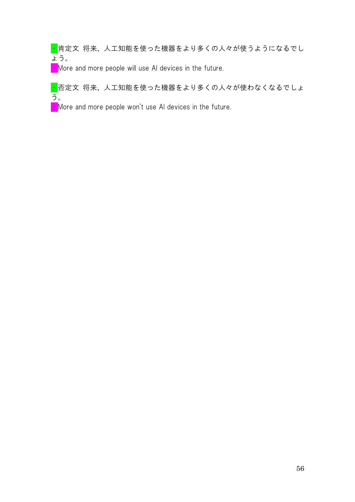■ 肯定文 将来、人工知能を使った機器をより多くの人々が使うようになるでし ょう。

 $\cdot$  More and more people will use AI devices in the future.

■ 否定文 将来、人工知能を使った機器をより多くの人々が使わなくなるでしょ う。

 $\cdot$  More and more people won't use AI devices in the future.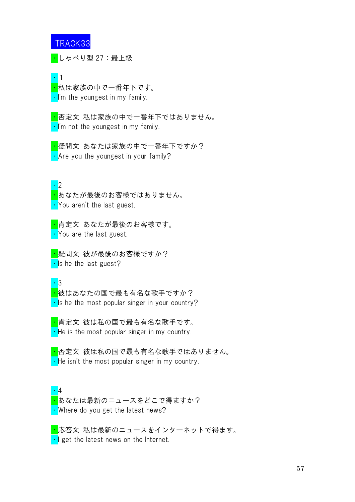・しゃべり型 27:最上級

・1 <mark>・</mark>私は家族の中で一番年下です。 •I'm the youngest in my family.

<mark>・</mark>否定文 私は家族の中で一番年下ではありません。  $\cdot$  I'm not the youngest in my family.

<mark>・</mark>疑問文 あなたは家族の中で一番年下ですか?  $\cdot$  Are you the youngest in your family?

・2

<mark>・</mark>あなたが最後のお客様ではありません。 • You aren't the last guest.

<mark>・</mark>肯定文 あなたが最後のお客様です。 • You are the last guest.

<mark>・</mark>疑問文 彼が最後のお客様ですか?  $\cdot$  Is he the last guest?

・3

<mark>・</mark>彼はあなたの国で最も有名な歌手ですか?  $\cdot$  Is he the most popular singer in your country?

<mark>・</mark>肯定文 彼は私の国で最も有名な歌手です。  $\cdot$  He is the most popular singer in my country.

<mark>・</mark>否定文 彼は私の国で最も有名な歌手ではありません。  $\cdot$  He isn't the most popular singer in my country.

・4 <mark>・</mark>あなたは最新のニュースをどこで得ますか? • Where do you get the latest news?

<mark>・</mark>応答文 私は最新のニュースをインターネットで得ます。  $\cdot$  I get the latest news on the Internet.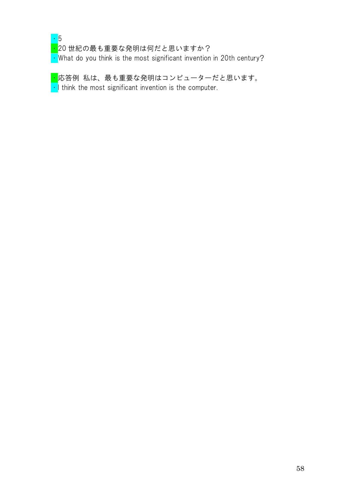

<mark>・</mark>20 世紀の最も重要な発明は何だと思いますか?

 $\cdot$  What do you think is the most significant invention in 20th century?

<mark>・</mark>応答例 私は、最も重要な発明はコンピューターだと思います。  $\cdot$  I think the most significant invention is the computer.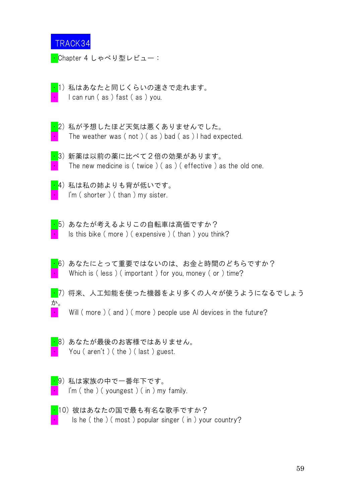<mark>・</mark>Chapter 4 しゃべり型レビュー:

- <mark>・</mark>1)私ははなたと同じくらいの速さで走れます。 I can run ( as ) fast ( as ) you.
- ・2) 私が予想したほど天気は悪くありませんでした。 The weather was  $( not ) ( as ) bad ( as ) I had expected.$
- ・3) 新薬は以前の薬に比べて2倍の効果があります。 The new medicine is ( twice ) ( as ) ( effective ) as the old one.
- ·4) 私は私の姉よりも背が低いです。  $\lim ( shorter)$  (than ) my sister.
- ・5) あなたが考えるよりこの自転車は高価ですか? Is this bike (more ) ( expensive ) ( than ) you think?
- $\frac{1}{16}$ ) あなたにとって重要ではないのは、お金と時間のどちらですか? Which is (less) (important) for you, money (or ) time?
- <mark>・</mark>7)将来、人工知能を使った機器をより多くの人々が使うようになるでしょう か。
- $\cdot$  Will (more ) (and ) (more ) people use AI devices in the future?
- <mark>・</mark>8)あなたが最後のお客様ではありません。 You ( aren't ) ( the ) ( last ) guest.
- <mark>・</mark>9)私は家族の中で一番年下です。 I'm ( the ) ( youngest ) ( in ) my family.
- <mark>・</mark>10)彼はあなたの国で最も有名な歌手ですか? Is he (the ) (most) popular singer (in) your country?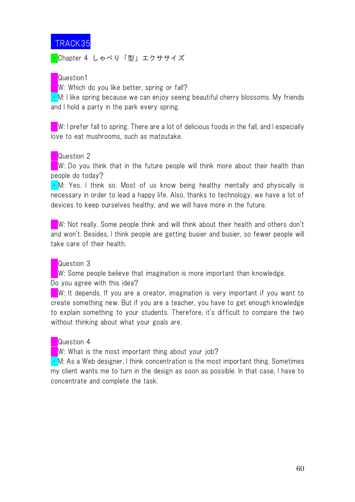<mark>・</mark>Chapter 4 しゃべり「型」エクササイズ

#### • Question1

 $\cdot$  W: Which do you like better, spring or fall?

• M: I like spring because we can enjoy seeing beautiful cherry blossoms. My friends and I hold a party in the park every spring.

 $\blacksquare$  W: I prefer fall to spring. There are a lot of delicious foods in the fall, and I especially love to eat mushrooms, such as matsutake.

### <mark>・</mark>Question 2

 $\cdot$  W: Do you think that in the future people will think more about their health than people do today?

• M: Yes. I think so. Most of us know being healthy mentally and physically is necessary in order to lead a happy life. Also, thanks to technology, we have a lot of devices to keep ourselves healthy, and we will have more in the future.

 $\cdot$  W: Not really. Some people think and will think about their health and others don't and won't. Besides, I think people are getting busier and busier, so fewer people will take care of their health.

### • Question 3

 $\cdot$  W: Some people believe that imagination is more important than knowledge.

Do you agree with this idea?

 $\cdot$  W: It depends. If you are a creator, imagination is very important if you want to create something new. But if you are a teacher, you have to get enough knowledge to explain something to your students. Therefore, it's difficult to compare the two without thinking about what your goals are.

#### • Question 4

 $\bullet$  W: What is the most important thing about your job?

 $\cdot$  M: As a Web designer, I think concentration is the most important thing. Sometimes my client wants me to turn in the design as soon as possible. In that case, I have to concentrate and complete the task.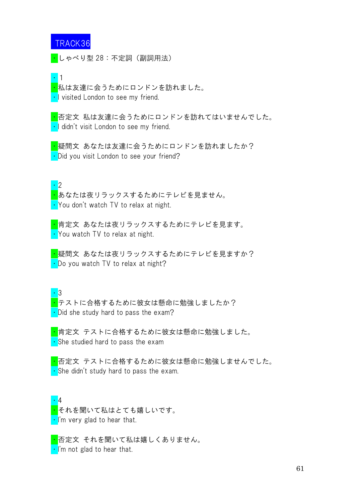<mark>・</mark>しゃべり型 28:不定詞(副詞用法)

・1

<mark>・</mark>私は友達に会うためにロンドンを訪れました。 • I visited London to see my friend.

<mark>・</mark>否定文 私は友達に会うためにロンドンを訪れてはいませんでした。 • I didn't visit London to see my friend.

<mark>・</mark>疑問文 あなたは友達に会うためにロンドンを訪れましたか? • Did you visit London to see your friend?

・2

・あなたは夜リラックスするためにテレビを見ません。 ・You don't watch TV to relax at night.

<mark>・</mark>肯定文 あなたは夜リラックスするためにテレビを見ます。 • You watch TV to relax at night.

<mark>・</mark>疑問文 あなたは夜リラックスするためにテレビを見ますか? • Do you watch TV to relax at night?

 $\cdot$  3 <mark>・</mark>テストに合格するために彼女は懸命に勉強しましたか? • Did she study hard to pass the exam?

<mark>・</mark>肯定文 テストに合格するために彼女は懸命に勉強しました。  $\cdot$  She studied hard to pass the exam

<mark>・</mark>否定文 テストに合格するために彼女は懸命に勉強しませんでした。  $\cdot$  She didn't study hard to pass the exam.

・4 <mark>・</mark>それを聞いて私はとても嬉しいです。  $\cdot$  I'm very glad to hear that.

<mark>・</mark>否定文 それを聞いて私は嬉しくありません。  $\cdot$  I'm not glad to hear that.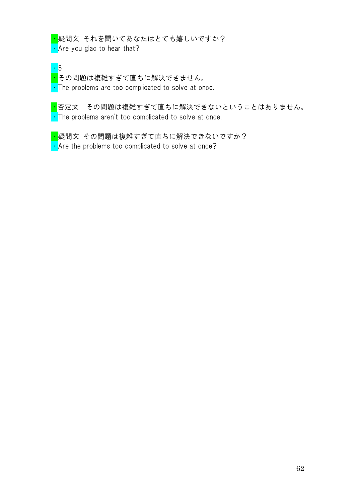<mark>・</mark>疑問文 それを聞いてあなたはとても嬉しいですか?  $\cdot$  Are you glad to hear that?

・5

### <mark>・</mark>その問題は複雑すぎて直ちに解決できません。

• The problems are too complicated to solve at once.

<mark>・</mark>否定文 その問題は複雑すぎて直ちに解決できないということはありません。  $\cdot$  The problems aren't too complicated to solve at once.

<mark>・</mark>疑問文 その問題は複雑すぎて直ちに解決できないですか?  $\cdot$  Are the problems too complicated to solve at once?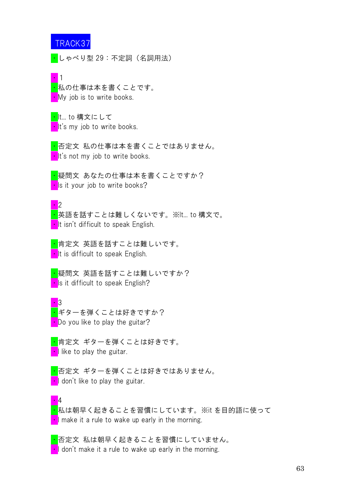<mark>・</mark>しゃべり型 29:不定詞(名詞用法)

・1 <mark>・</mark>私の仕事は本を書くことです。  $\blacksquare$  My job is to write books.

<mark>・</mark>It... to 構文にして **It's my job to write books.** 

<mark>・</mark>否定文 私の仕事は本を書くことではありません。  $\cdot$  It's not my job to write books.

<mark>・</mark>疑問文 あなたの仕事は本を書くことですか?  $\cdot$  Is it your job to write books?

 $\cdot \cdot$ ・英語を話すことは難しくないです。※It... to 構文で。 **I**t isn't difficult to speak English.

<mark>・</mark>肯定文 英語を話すことは難しいです。  $\blacksquare$ It is difficult to speak English.

<mark>・</mark>疑問文 英語を話すことは難しいですか?  $\blacksquare$  Is it difficult to speak English?

・3 <mark>・</mark>ギターを弾くことは好きですか?  $\blacksquare$  Do you like to play the guitar?

・4

<mark>・</mark>肯定文 ギターを弾くことは好きです。  $\blacksquare$  like to play the guitar.

<mark>・</mark>否定文 ギターを弾くことは好きではありません。 • I don't like to play the guitar.

<mark>・</mark>私は朝早く起きることを習慣にしています。※it を目的語に使って  $\cdot$  I make it a rule to wake up early in the morning.

<mark>・</mark>否定文 私は朝早く起きることを習慣にしていません。  $\blacksquare$  don't make it a rule to wake up early in the morning.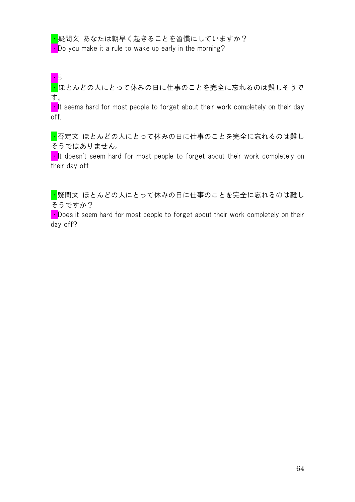<mark>・</mark>疑問文 あなたは朝早く起きることを習慣にしていますか?

• Do you make it a rule to wake up early in the morning?

・5

<mark>・</mark>ほとんどの人にとって休みの日に仕事のことを完全に忘れるのは難しそうで す。

 $\blacksquare$ It seems hard for most people to forget about their work completely on their day off.

<mark>・</mark>否定文 ほとんどの人にとって休みの日に仕事のことを完全に忘れるのは難し そうではありません。

 $\cdot$  It doesn't seem hard for most people to forget about their work completely on their day off.

<mark>・</mark>疑問文 ほとんどの人にとって休みの日に仕事のことを完全に忘れるのは難し そうですか?

 $\blacksquare$  Does it seem hard for most people to forget about their work completely on their day off?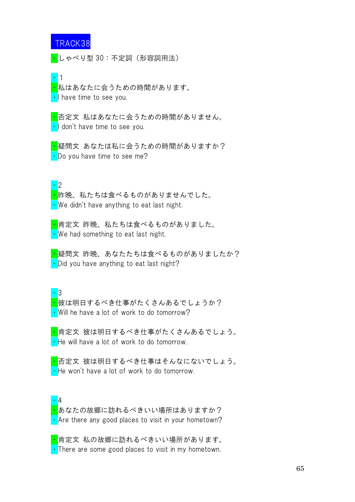・しゃべり型 30:不定詞(形容詞用法)

・1

<mark>・</mark>私はあなたに会うための時間があります。 • I have time to see you.

<mark>・</mark>否定文 私はあなたに会うための時間がありません。 • I don't have time to see you.

<mark>・</mark>疑問文 あなたは私に会うための時間がありますか? • Do you have time to see me?

・2

<mark>・</mark>昨晩、私たちは食べるものがありませんでした。  $\cdot$  We didn't have anything to eat last night.

<mark>・</mark>肯定文 昨晩、私たちは食べるものがありました。  $\cdot$  We had something to eat last night.

<mark>・</mark>疑問文 昨晩、あなたたちは食べるものがありましたか?  $\cdot$  Did you have anything to eat last night?

・3

<mark>・</mark>彼は明日するべき仕事がたくさんあるでしょうか? • Will he have a lot of work to do tomorrow?

<mark>・</mark>肯定文 彼は明日するべき仕事がたくさんあるでしょう。 • He will have a lot of work to do tomorrow.

<mark>・</mark>否定文 彼は明日するべき仕事はそんなにないでしょう。 • He won't have a lot of work to do tomorrow.

・4 <mark>・</mark>あなたの故郷に訪れるべきいい場所はありますか? • Are there any good places to visit in your hometown?

<mark>・</mark>肯定文 私の故郷に訪れるべきいい場所があります。 • There are some good places to visit in my hometown.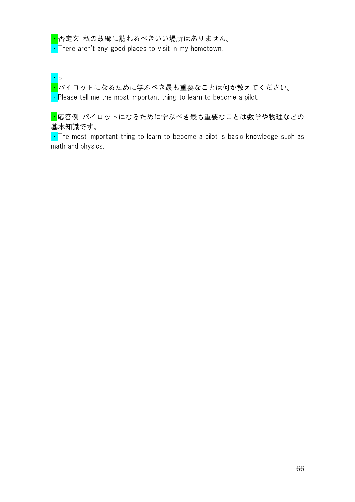<mark>・</mark>否定文 私の故郷に訪れるべきいい場所はありません。  $\cdot$  There aren't any good places to visit in my hometown.

・5

<mark>・</mark>。<br><mark>・</mark>パイロットになるために学ぶべき最も重要なことは何か教えてください。

 $\cdot$  Please tell me the most important thing to learn to become a pilot.

・応答例 パイロットになるために学ぶべき最も重要なことは数学や物理などの 基本知識です。

 $\cdot$  The most important thing to learn to become a pilot is basic knowledge such as math and physics.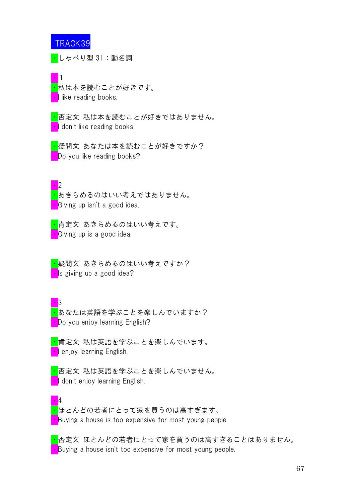<mark>・</mark>しゃべり型 31:動名詞

・1 <mark>・</mark>私は本を読むことが好きです。 •I like reading books.

<mark>・</mark>否定文 私は本を読むことが好きではありません。 I don't like reading books.

<mark>・</mark>疑問文 あなたは本を読むことが好きですか? • Do you like reading books?

・2

<mark>・</mark>あきらめるのはいい考えではありません。 **Giving up isn't a good idea.** 

<mark>・</mark>肯定文 あきらめるのはいい考えです。 **C**iving up is a good idea.

<mark>・</mark>疑問文 あきらめるのはいい考えですか? • Is giving up a good idea?

・3 <mark>・</mark>あなたは英語を学ぶことを楽しんでいますか? **• Do you enjoy learning English?** 

<mark>・</mark>肯定文 私は英語を学ぶことを楽しんでいます。 **I** enjoy learning English.

<mark>・</mark>否定文 私は英語を学ぶことを楽しんでいません。 **I** don't enjoy learning English.

・4 <mark>・</mark>ほとんどの若者にとって家を買うのは高すぎます。 • Buying a house is too expensive for most young people.

<mark>・</mark>否定文 ほとんどの若者にとって家を買うのは高すぎることはありません。 • Buying a house isn't too expensive for most young people.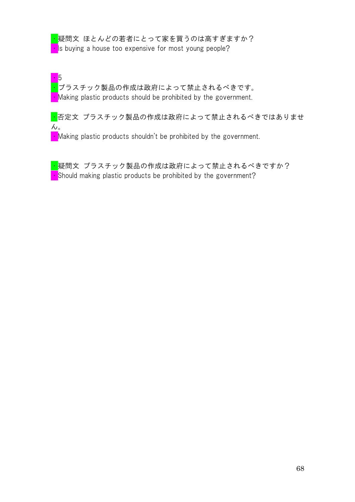<mark>・</mark>疑問文 ほとんどの若者にとって家を買うのは高すぎますか?  $\cdot$  Is buying a house too expensive for most young people?

・5 <mark>·</mark>プラスチック製品の作成は政府によって禁止されるべきです。  $\cdot$  Making plastic products should be prohibited by the government.

<mark>・</mark>否定文 プラスチック製品の作成は政府によって禁止されるべきではありませ  $\mathcal{L}_{\circ}$ 

 $\blacksquare$  Making plastic products shouldn't be prohibited by the government.

<mark>・</mark>疑問文 プラスチック製品の作成は政府によって禁止されるべきですか?  $\cdot$  Should making plastic products be prohibited by the government?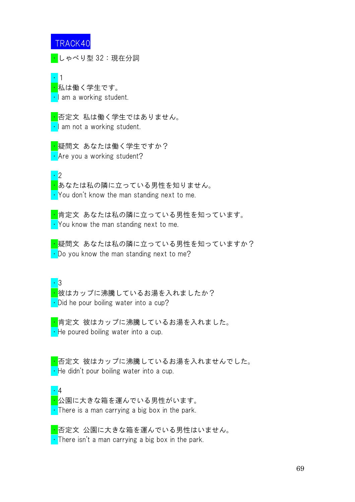・しゃべり型 32:現在分詞

・1 <mark>・</mark>私は働く学生です。  $\cdot$  am a working student.

<mark>・</mark>否定文 私は働く学生ではありません。  $\cdot$  I am not a working student.

<mark>・</mark>疑問文 あなたは働く学生ですか? • Are you a working student?

・2

・あなたは私の隣に立っている男性を知りません。 • You don't know the man standing next to me.

<mark>・</mark>肯定文 あなたは私の隣に立っている男性を知っています。 • You know the man standing next to me.

<mark>・</mark>疑問文 あなたは私の隣に立っている男性を知っていますか?  $\cdot$  Do you know the man standing next to me?

・3

<mark>・</mark>彼はカップに沸騰しているお湯を入れましたか? • Did he pour boiling water into a cup?

<mark>・</mark>肯定文 彼はカップに沸騰しているお湯を入れました。  $\cdot$  He poured boiling water into a cup.

<mark>・</mark>否定文 彼はカップに沸騰しているお湯を入れませんでした。  $\cdot$  He didn't pour boiling water into a cup.

・4 <mark>・</mark>公園に大きな箱を運んでいる男性がいます。 • There is a man carrying a big box in the park.

<mark>・</mark>否定文 公園に大きな箱を運んでいる男性はいません。 • There isn't a man carrying a big box in the park.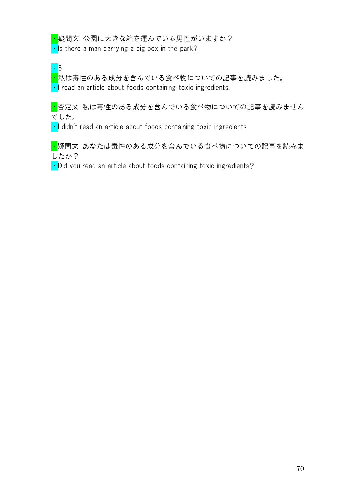#### <mark>・</mark>疑問文 公園に大きな箱を運んでいる男性がいますか?

 $\cdot$  Is there a man carrying a big box in the park?

・5

<mark>・</mark>私は毒性のある成分を含んでいる食べ物についての記事を読みました。  $\cdot$  I read an article about foods containing toxic ingredients.

・否定文 私は毒性のある成分を含んでいる食べ物についての記事を読みません でした。

 $\cdot$  I didn't read an article about foods containing toxic ingredients.

■疑問文 あなたは毒性のある成分を含んでいる食べ物についての記事を読みま したか?

 $\cdot$  Did you read an article about foods containing toxic ingredients?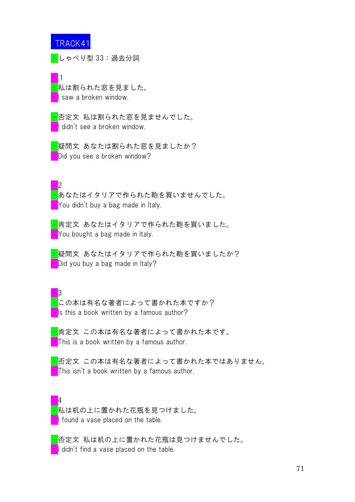・しゃべり型 33:過去分詞

・1 <mark>・</mark>私は割られた窓を見ました。 •I saw a broken window.

<mark>・</mark>否定文 私は割られた窓を見ませんでした。 I didn't see a broken window.

<mark>・</mark>疑問文 あなたは割られた窓を見ましたか? • Did you see a broken window?

・2

・あなたはイタリアで作られた鞄を買いませんでした。 You didn't buy a bag made in Italy.

<mark>・</mark>肯定文 あなたはイタリアで作られた鞄を買いました。 • You bought a bag made in Italy.

<mark>・</mark>疑問文 あなたはイタリアで作られた鞄を買いましたか? • Did you buy a bag made in Italy?

 $\cdot$  3 <mark>・</mark>この本は有名な著者によって書かれた本ですか?  $\blacksquare$  Is this a book written by a famous author?

<mark>・</mark>肯定文 この本は有名な著者によって書かれた本です。  $\blacksquare$  This is a book written by a famous author.

・否定文 この本は有名な著者によって書かれた本ではありません。  $\blacksquare$  This isn't a book written by a famous author.

・4 <mark>・</mark>私は机の上に置かれた花瓶を見つけました。 • I found a vase placed on the table.

・否定文 私は机の上に置かれた花瓶は見つけませんでした。 I didn't find a vase placed on the table.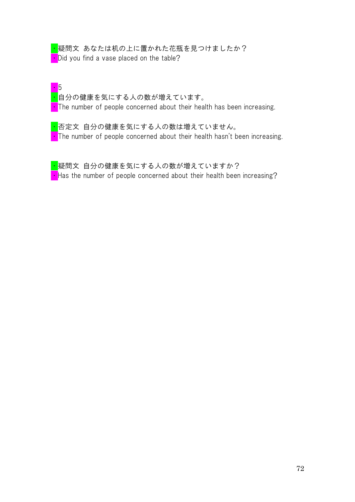<mark>・</mark>疑問文 あなたは机の上に置かれた花瓶を見つけましたか? **•** Did you find a vase placed on the table?

・5 <mark>・</mark>自分の健康を気にする人の数が増えています。  $\cdot$  The number of people concerned about their health has been increasing.

<mark>・</mark>否定文 自分の健康を気にする人の数は増えていません。  $\blacksquare$  The number of people concerned about their health hasn't been increasing.

<mark>・</mark>疑問文 自分の健康を気にする人の数が増えていますか? **Has the number of people concerned about their health been increasing?**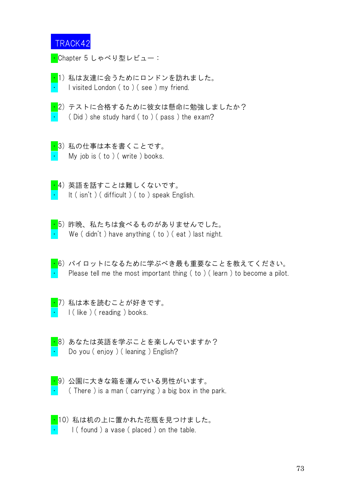<mark>・</mark>Chapter 5 しゃべり型レビュー:

・1) 私は友達に会うためにロンドンを訪れました。 I visited London (to ) (see ) my friend.

- ・2) テストに合格するために彼女は懸命に勉強しましたか?  $($  Did) she study hard  $($  to  $)$   $($  pass  $)$  the exam?
- <mark>・</mark>3)私の仕事は本を書くことです。 My job is  $( to )$   $($  write  $)$  books.
- ・4) 英語を話すことは難しくないです。 It ( isn't ) ( difficult ) ( to ) speak English.
- ・5) 昨晩、私たちは食べるものがありませんでした。 We ( $\dot{\phi}$  didn't) have anything ( $\dot{\phi}$ ) (eat) last night.
- ・6) パイロットになるために学ぶべき最も重要なことを教えてください。 Please tell me the most important thing  $($  to  $)$   $($  learn  $)$  to become a pilot.
- ・7) 私は本を読むことが好きです。 I (like ) (reading ) books.
- ・8) あなたは英語を学ぶことを楽しんでいますか? **•** Do you ( enjoy ) ( leaning ) English?
- <mark>・</mark>9)公園に大きな箱を運んでいる男性がいます。  $($  There ) is a man  $($  carrying  $)$  a big box in the park.
- <mark>・</mark>10)私は机の上に置かれた花瓶を見つけました。  $\vert$  ( found ) a vase ( placed ) on the table.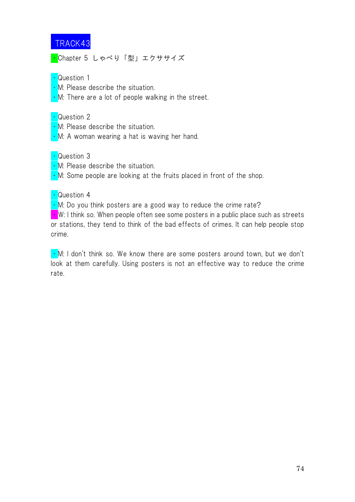<mark>・</mark>Chapter 5 しゃべり「型」エクササイズ

#### • Question 1

- M: Please describe the situation.
- $\cdot$  M: There are a lot of people walking in the street.

### ・Question 2

- ・M: Please describe the situation.
- $\cdot$  M: A woman wearing a hat is waving her hand.

# ・Question 3

- M: Please describe the situation.
- $\cdot$  M: Some people are looking at the fruits placed in front of the shop.

### ・Question 4

 $\cdot$  M: Do you think posters are a good way to reduce the crime rate?

 $\blacksquare$  W: I think so. When people often see some posters in a public place such as streets or stations, they tend to think of the bad effects of crimes. It can help people stop crime.

• M: I don't think so. We know there are some posters around town, but we don't look at them carefully. Using posters is not an effective way to reduce the crime rate.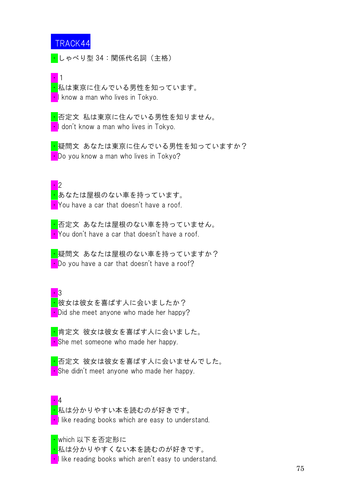<mark>・</mark>しゃべり型 34:関係代名詞(主格)

■1

<mark>・</mark>私は東京に住んでいる男性を知っています。 **I** know a man who lives in Tokyo.

<mark>・</mark>否定文 私は東京に住んでいる男性を知りません。 ・I don't know a man who lives in Tokyo.

<mark>・</mark>疑問文 あなたは東京に住んでいる男性を知っていますか? • Do you know a man who lives in Tokyo?

・2

<mark>・</mark>あなたは屋根のない車を持っています。 • You have a car that doesn't have a roof.

<mark>・</mark>否定文 あなたは屋根のない車を持っていません。 • You don't have a car that doesn't have a roof.

<mark>・</mark>疑問文 あなたは屋根のない車を持っていますか? • Do you have a car that doesn't have a roof?

 $\cdot$  3 <mark>・</mark>彼女は彼女を喜ばす人に会いましたか? • Did she meet anyone who made her happy?

<mark>・</mark>肯定文 彼女は彼女を喜ばす人に会いました。 • She met someone who made her happy.

<mark>・</mark>否定文 彼女は彼女を喜ばす人に会いませんでした。 • She didn't meet anyone who made her happy.

・4 <mark>・</mark>私は分かりやすい本を読むのが好きです。  $\cdot$  I like reading books which are easy to understand.

<mark>・</mark>which 以下を否定形に

<mark>・</mark>私は分かりやすくない本を読むのが好きです。

• I like reading books which aren't easy to understand.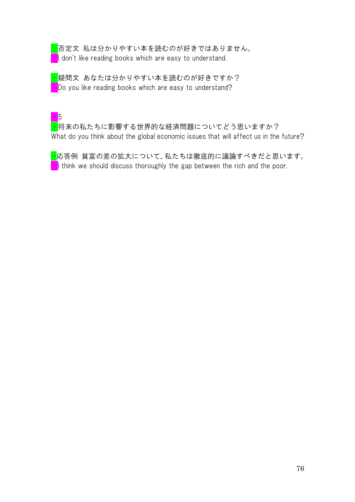<mark>・</mark>否定文 私は分かりやすい本を読むのが好きではありません。 • I don't like reading books which are easy to understand.

<mark>・</mark>疑問文 あなたは分かりやすい本を読むのが好きですか?  $\cdot$  Do you like reading books which are easy to understand?

# ・5

<mark>・</mark>将来の私たちに影響する世界的な経済問題についてどう思いますか? What do you think about the global economic issues that will affect us in the future?

<mark>・</mark>応答例 貧富の差の拡大について、私たちは徹底的に議論すべきだと思います。  $\cdot$  I think we should discuss thoroughly the gap between the rich and the poor.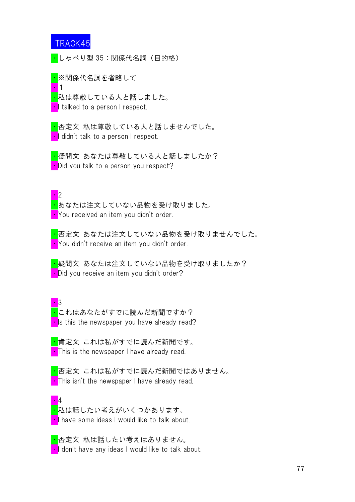・1

・しゃべり型 35:関係代名詞(目的格)

<mark>・</mark>※関係代名詞を省略して

<mark>・</mark>私は尊敬している人と話しました。 I talked to a person I respect.

<mark>・</mark>否定文 私は尊敬している人と話しませんでした。 **I** didn't talk to a person I respect.

<mark>・</mark>疑問文 あなたは尊敬している人と話しましたか? • Did you talk to a person you respect?

・2

<mark>・</mark>あなたは注文していない品物を受け取りました。 ・You received an item you didn't order.

<mark>・</mark>否定文 あなたは注文していない品物を受け取りませんでした。 **• You didn't receive an item you didn't order.** 

・疑問文 あなたは注文していない品物を受け取りましたか? bid you receive an item you didn't order?

・3 <mark>・</mark>これはあなたがすでに読んだ新聞ですか?  $\cdot$  is this the newspaper you have already read?

<mark>・</mark>肯定文 これは私がすでに読んだ新聞です。 **This is the newspaper I have already read.** 

<mark>・</mark>否定文 これは私がすでに読んだ新聞ではありません。 • This isn't the newspaper I have already read.

・4 <mark>・</mark>私は話したい考えがいくつかあります。 • I have some ideas I would like to talk about.

<mark>・</mark>否定文 私は話したい考えはありません。 **I** don't have any ideas I would like to talk about.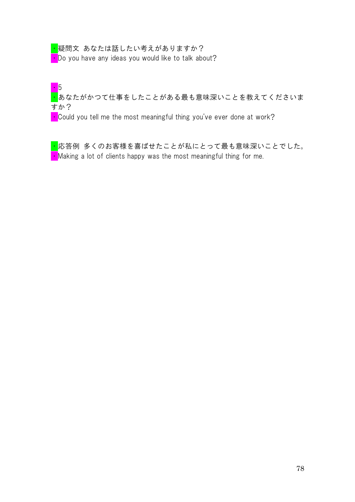<mark>・</mark>疑問文 あなたは話したい考えがありますか?  $\cdot$  Do you have any ideas you would like to talk about?

・5 <mark>·</mark>あなたがかつて仕事をしたことがある最も意味深いことを教えてくださいま すか?

 $\cdot$  Could you tell me the most meaningful thing you've ever done at work?

<mark>・</mark>応答例 多くのお客様を喜ばせたことが私にとって最も意味深いことでした。  $\blacksquare$  Making a lot of clients happy was the most meaningful thing for me.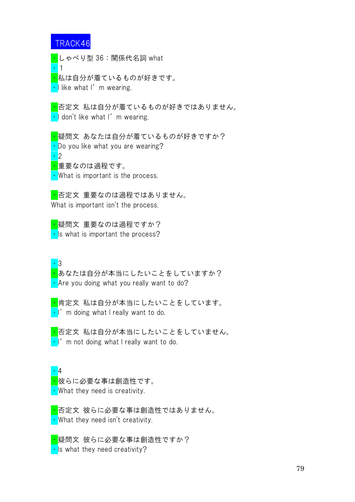・1

・しゃべり型 36:関係代名詞 what

<mark>・</mark>私は自分が着ているものが好きです。  $\cdot$  I like what I'm wearing.

・否定文 私は自分が着ているものが好きではありません。  $\cdot$  I don't like what I'm wearing.

<mark>・</mark>疑問文 あなたは自分が着ているものが好きですか? • Do you like what you are wearing? ・2 <mark>・</mark>重要なのは過程です。

• What is important is the process.

<mark>・</mark>否定文 重要なのは過程ではありません。 What is important isn't the process.

・疑問文 重要なのは過程ですか?  $\cdot$  Is what is important the process?

・3

・あなたは自分が本当にしたいことをしていますか? • Are you doing what you really want to do?

<mark>・</mark>肯定文 私は自分が本当にしたいことをしています。  $\cdot$  |' m doing what I really want to do.

<mark>・</mark>否定文 私は自分が本当にしたいことをしていません。  $\cdot$  I'm not doing what I really want to do.

・4 <mark>・</mark>彼らに必要な事は創造性です。 • What they need is creativity.

<mark>・</mark>否定文 彼らに必要な事は創造性ではありません。 • What they need isn't creativity.

<mark>・</mark>疑問文 彼らに必要な事は創造性ですか?  $\cdot$  Is what they need creativity?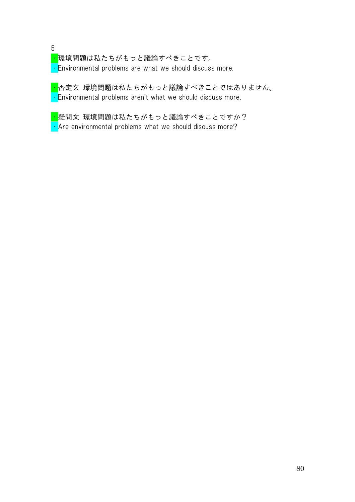5 <mark>・</mark>環境問題は私たちがもっと議論すべきことです。  $\cdot$  Environmental problems are what we should discuss more.

<mark>・</mark>否定文 環境問題は私たちがもっと議論すべきことではありません。  $\cdot$  Environmental problems aren't what we should discuss more.

<mark>・</mark>疑問文 環境問題は私たちがもっと議論すべきことですか?  $\cdot$  Are environmental problems what we should discuss more?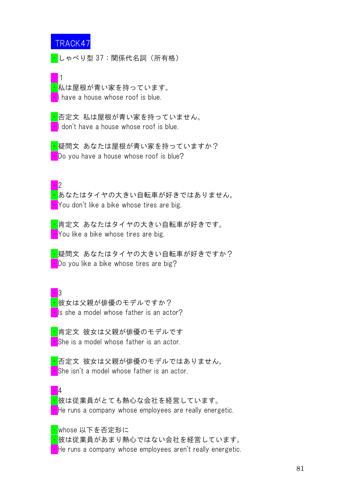・しゃべり型 37:関係代名詞(所有格)

・1 <mark>・</mark>私は屋根が青い家を持っています。 • I have a house whose roof is blue.

<mark>・</mark>否定文 私は屋根が青い家を持っていません。 I don't have a house whose roof is blue.

<mark>・</mark>疑問文 あなたは屋根が青い家を持っていますか? **• Do you have a house whose roof is blue?** 

・2

・あなたはタイヤの大きい自転車が好きではありません。 You don't like a bike whose tires are big.

<mark>・</mark>肯定文 あなたはタイヤの大きい自転車が好きです。 • You like a bike whose tires are big.

<mark>・</mark>疑問文 あなたはタイヤの大きい自転車が好きですか? **• Do** you like a bike whose tires are big?

 $\cdot$  3 <mark>・</mark>彼女は父親が俳優のモデルですか?  $\cdot$  Is she a model whose father is an actor?

<mark>・</mark>肯定文 彼女は父親が俳優のモデルです • She is a model whose father is an actor.

<mark>・</mark>否定文 彼女は父親が俳優のモデルではありません。 • She isn't a model whose father is an actor.

・4 ・彼は従業員がとても熱心な会社を経営しています。 • He runs a company whose employees are really energetic.

<mark>・</mark>whose 以下を否定形に

<mark>・</mark>彼は従業員があまり熱心ではない会社を経営しています。  $\cdot$  He runs a company whose employees aren't really energetic.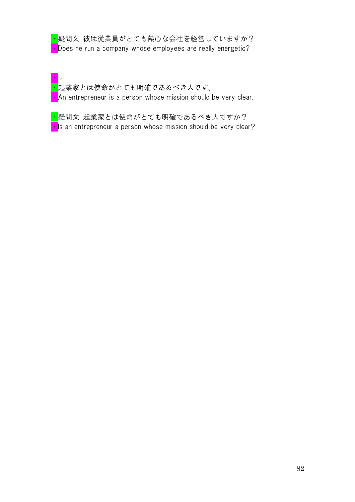| <mark>・</mark> 疑問文 彼は従業員がとても熱心な会社を経営していますか?                   |
|---------------------------------------------------------------|
| • Does he run a company whose employees are really energetic? |

・5 <mark>・</mark>起業家とは使命がとても明確であるべき人です。 **An entrepreneur is a person whose mission should be very clear.** 

<mark>・</mark>疑問文 起業家とは使命がとても明確であるべき人ですか?  $\cdot$  Is an entrepreneur a person whose mission should be very clear?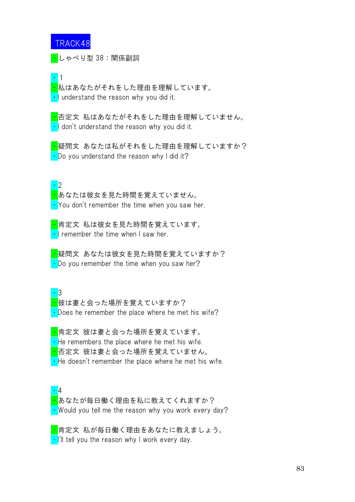<mark>・</mark>しゃべり型 38:関係副詞

・1

<mark>・</mark>私はあなたがそれをした理由を理解しています。 ・I understand the reason why you did it.

<mark>・</mark>否定文 私はあなたがそれをした理由を理解していません。  $\cdot$  I don't understand the reason why you did it.

<mark>・</mark>疑問文 あなたは私がそれをした理由を理解していますか?  $\cdot$  Do you understand the reason why I did it?

・2

<mark>・</mark>あなたは彼女を見た時間を覚えていません。  $\cdot$  You don't remember the time when you saw her.

<mark>・</mark>肯定文 私は彼女を見た時間を覚えています。  $\cdot$  I remember the time when I saw her.

<mark>・</mark>疑問文 あなたは彼女を見た時間を覚えていますか?  $\cdot$  Do you remember the time when you saw her?

・3

<mark>・</mark>彼は妻と会った場所を覚えていますか?  $\cdot$  Does he remember the place where he met his wife?

<mark>・</mark>肯定文 彼は妻と会った場所を覚えています。  $\cdot$  He remembers the place where he met his wife. <mark>・</mark>否定文 彼は妻と会った場所を覚えていません。

 $\cdot$  He doesn't remember the place where he met his wife.

・4 · あなたが毎日働く理由を私に教えてくれますか? ・Would you tell me the reason why you work every day?

<mark>・</mark>肯定文 私が毎日働く理由をあなたに教えましょう。  $\cdot$  I'll tell you the reason why I work every day.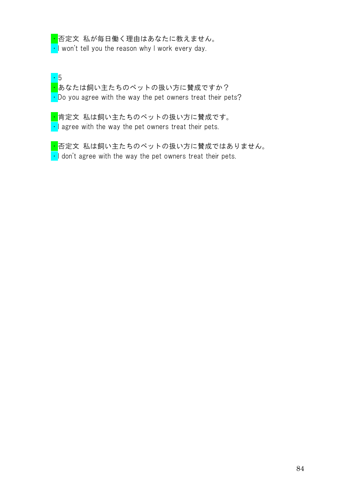<mark>・</mark>否定文 私が毎日働く理由はあなたに教えません。  $\cdot$  I won't tell you the reason why I work every day.

・5 <mark>・</mark>あなたは飼い主たちのペットの扱い方に賛成ですか?  $\cdot$  Do you agree with the way the pet owners treat their pets?

<mark>・</mark>肯定文 私は飼い主たちのペットの扱い方に賛成です。  $\cdot$  agree with the way the pet owners treat their pets.

<mark>・</mark>否定文 私は飼い主たちのペットの扱い方に賛成ではありません。  $\cdot$  I don't agree with the way the pet owners treat their pets.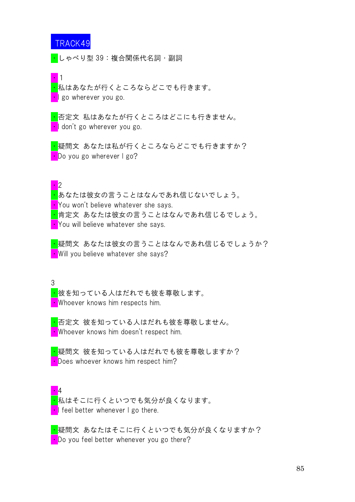・しゃべり型 39:複合関係代名詞・副詞

・1

<mark>・</mark>私はあなたが行くところならどこでも行きます。 • go wherever you go.

・否定文 私はあなたが行くところはどこにも行きません。 **I** don't go wherever you go.

<mark>・</mark>疑問文 あなたは私が行くところならどこでも行きますか? • Do you go wherever I go?

#### ・2

・あなたは彼女の言うことはなんであれ信じないでしょう。 **• You won't believe whatever she says.** <mark>・</mark>肯定文 あなたは彼女の言うことはなんであれ信じるでしょう。 **• You will believe whatever she says.** 

<mark>・</mark>疑問文 あなたは彼女の言うことはなんであれ信じるでしょうか? • Will you believe whatever she says?

#### 3

<mark>・</mark>彼を知っている人はだれでも彼を尊敬します。 ・Whoever knows him respects him.

<mark>・</mark>否定文 彼を知っている人はだれも彼を尊敬しません。 ・Whoever knows him doesn't respect him.

<mark>・</mark>疑問文 彼を知っている人はだれでも彼を尊敬しますか? • Does whoever knows him respect him?

・4 <mark>・</mark>私はそこに行くといつでも気分が良くなります。  $\cdot$  I feel better whenever I go there.

<mark>・</mark>疑問文 あなたはそこに行くといつでも気分が良くなりますか?  $\cdot$  Do you feel better whenever you go there?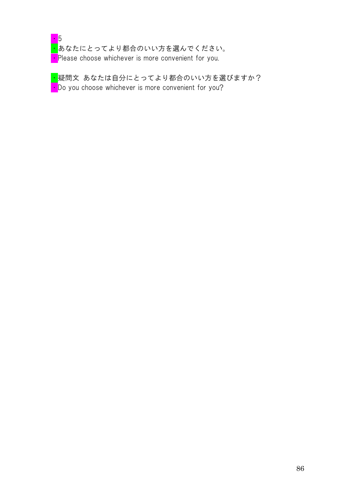

<mark>・</mark>あなたにとってより都合のいい方を選んでください。 **• Please choose whichever is more convenient for you.** 

<mark>・</mark>疑問文 あなたは自分にとってより都合のいい方を選びますか?  $\cdot$  Do you choose whichever is more convenient for you?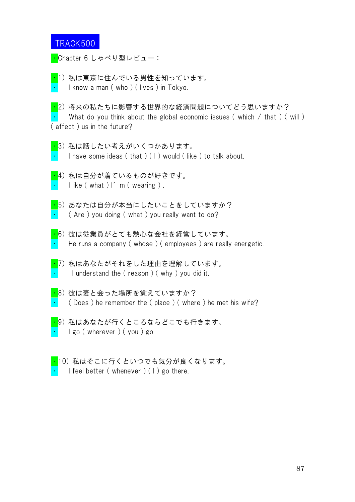<mark>・</mark>Chapter 6 しゃべり型レビュー:

<mark>・</mark>1)私は東京に住んでいる男性を知っています。 I know a man ( who ) ( lives ) in Tokyo.

<mark>・</mark>2) 将来の私たちに影響する世界的な経済問題についてどう思いますか? What do you think about the global economic issues (which  $/$  that ) (will ) ( affect ) us in the future?

- ・3) 私は話したい考えがいくつかあります。 I have some ideas (that ) ( I ) would (like ) to talk about.
- <mark>・</mark>4)私は自分が着ているものが好きです。 I like ( what ) I'm ( wearing ).
- ・5) あなたは自分が本当にしたいことをしていますか?  $($  Are ) you doing ( what ) you really want to do?
- ・6) 彼は従業員がとても熱心な会社を経営しています。 He runs a company (whose) (employees) are really energetic.
- <mark>・</mark>7)私はあなたがそれをした理由を理解しています。 I understand the (reason) (why) you did it.
- $\overline{\cdot}$ 8) 彼は妻と会った場所を覚えていますか?  $($  Does ) he remember the  $($  place  $)$   $($  where  $)$  he met his wife?
- ・9) 私はあなたが行くところならどこでも行きます。  $\cdot$  I go (wherever) (you) go.
- ・10) 私はそこに行くといつでも気分が良くなります。 I feel better (whenever)  $(1)$  go there.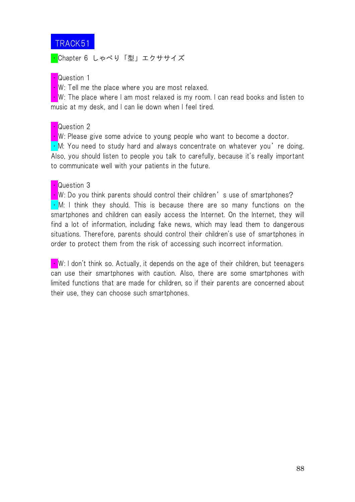

<mark>・</mark>Chapter 6 しゃべり「型」エクササイズ

#### • Question 1

 $\cdot$  W: Tell me the place where you are most relaxed.

 $\cdot$  W: The place where I am most relaxed is my room. I can read books and listen to music at my desk, and I can lie down when I feel tired.

#### • Question 2

 $\cdot$  W: Please give some advice to young people who want to become a doctor.

 $\cdot$  M: You need to study hard and always concentrate on whatever you're doing. Also, you should listen to people you talk to carefully, because it's really important to communicate well with your patients in the future.

#### • Question 3

 $\cdot$  W: Do you think parents should control their children's use of smartphones?  $\cdot$  M: I think they should. This is because there are so many functions on the smartphones and children can easily access the Internet. On the Internet, they will find a lot of information, including fake news, which may lead them to dangerous situations. Therefore, parents should control their children's use of smartphones in order to protect them from the risk of accessing such incorrect information.

 $\blacksquare$  W: I don't think so. Actually, it depends on the age of their children, but teenagers can use their smartphones with caution. Also, there are some smartphones with limited functions that are made for children, so if their parents are concerned about their use, they can choose such smartphones.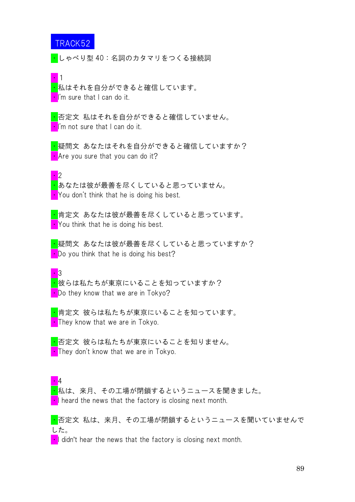<mark>・</mark>しゃべり型 40:名詞のカタマリをつくる接続詞

・1

<mark>・</mark>私はそれを自分ができると確信しています。 ・I'm sure that I can do it.

<mark>・</mark>否定文 私はそれを自分ができると確信していません。 I'm not sure that I can do it.

<mark>・</mark>疑問文 あなたはそれを自分ができると確信していますか?  $\blacksquare$  Are you sure that you can do it?

・2

<mark>・</mark>あなたは彼が最善を尽くしていると思っていません。 You don't think that he is doing his best.

<mark>・</mark>肯定文 あなたは彼が最善を尽くしていると思っています。 You think that he is doing his best.

<mark>・</mark>疑問文 あなたは彼が最善を尽くしていると思っていますか? • Do you think that he is doing his best?

 $\overline{\phantom{a}}$  3 <mark>・</mark>彼らは私たちが東京にいることを知っていますか? • Do they know that we are in Tokyo?

<mark>・</mark>肯定文 彼らは私たちが東京にいることを知っています。 **They know that we are in Tokyo.** 

<mark>・</mark>否定文 彼らは私たちが東京にいることを知りません。 **They don't know that we are in Tokyo.** 

・4

<mark>・</mark>私は、来月、その工場が閉鎖するというニュースを聞きました。 • I heard the news that the factory is closing next month.

<mark>・</mark>否定文 私は、来月、その工場が閉鎖するというニュースを聞いていませんで した。

 $\blacksquare$  didn't hear the news that the factory is closing next month.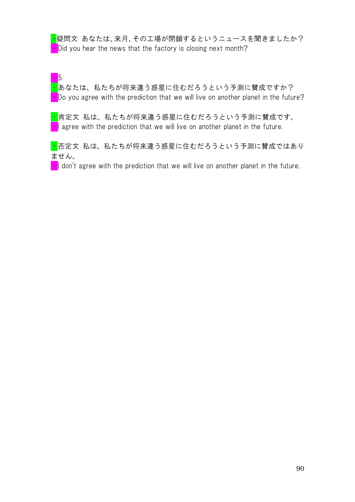<mark>・</mark>疑問文 あなたは、来月、その工場が閉鎖するというニュースを聞きましたか?  $\blacksquare$  Did you hear the news that the factory is closing next month?

・5

・あなたは、私たちが将来違う惑星に住むだろうという予測に賛成ですか?  $\cdot$  Do you agree with the prediction that we will live on another planet in the future?

・肯定文 私は、私たちが将来違う惑星に住むだろうという予測に賛成です。 • agree with the prediction that we will live on another planet in the future.

<mark>・</mark>否定文 私は、私たちが将来違う惑星に住むだろうという予測に賛成ではあり ません。

 $\blacksquare$  I don't agree with the prediction that we will live on another planet in the future.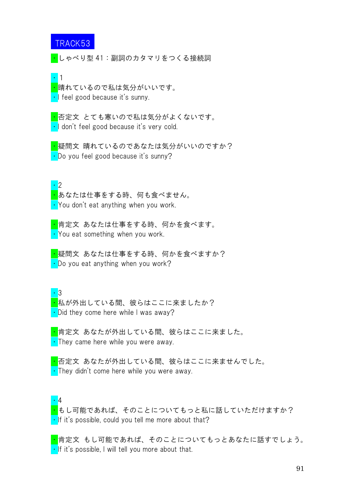<mark>・</mark>しゃべり型 41:副詞のカタマリをつくる接続詞

・1

<mark>・</mark>晴れているので私は気分がいいです。 ・I feel good because it's sunny.

<mark>・</mark>否定文 とても寒いので私は気分がよくないです。 ・I don't feel good because it's very cold.

<mark>・</mark>疑問文 晴れているのであなたは気分がいいのですか? ・Do you feel good because it's sunny?

・2

<mark>・</mark>あなたは仕事をする時、何も食べません。 • You don't eat anything when you work.

<mark>・</mark>肯定文 あなたは仕事をする時、何かを食べます。 • You eat something when you work.

<mark>・</mark>疑問文 あなたは仕事をする時、何かを食べますか?  $\cdot$  Do you eat anything when you work?

・3 <mark>・</mark>私が外出している間、彼らはここに来ましたか?  $\cdot$  Did they come here while I was away?

<mark>・</mark>肯定文 あなたが外出している間、彼らはここに来ました。 • They came here while you were away.

<mark>・</mark>否定文 あなたが外出している間、彼らはここに来ませんでした。  $\cdot$  They didn't come here while you were away.

・4

<mark>・</mark>もし可能であれば、そのことについてもっと私に話していただけますか?  $\cdot$  If it's possible, could you tell me more about that?

<mark>・</mark>肯定文 もし可能であれば、そのことについてもっとあなたに話すでしょう。  $\cdot$  If it's possible, I will tell you more about that.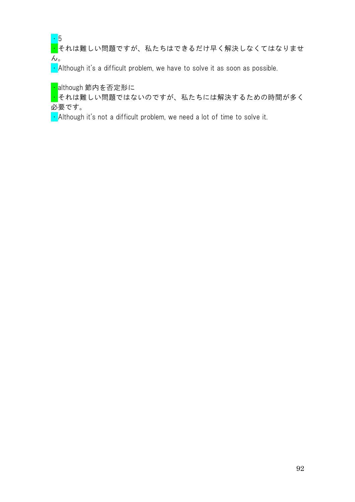・5

<mark>・</mark><br><mark>・</mark>それは難しい問題ですが、私たちはできるだけ早く解決しなくてはなりませ  $\mathcal{L}_{\circ}$ 

 $\cdot$  Although it's a difficult problem, we have to solve it as soon as possible.

<mark>・</mark>although 節内を否定形に

<mark>・</mark>それは難しい問題ではないのですが、私たちには解決するための時間が多く 必要です。

• Although it's not a difficult problem, we need a lot of time to solve it.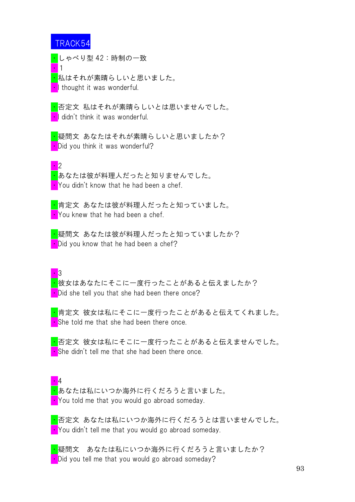・1

・2

<mark>・</mark>しゃべり型 42:時制の一致

<mark>・</mark>私はそれが素晴らしいと思いました。 I thought it was wonderful.

<mark>・</mark>否定文 私はそれが素晴らしいとは思いませんでした。 ・I didn't think it was wonderful.

<mark>・</mark>疑問文 あなたはそれが素晴らしいと思いましたか? **Did you think it was wonderful?** 

<mark>・</mark>あなたは彼が料理人だったと知りませんでした。 **• You didn't know that he had been a chef.** 

<mark>・</mark>肯定文 あなたは彼が料理人だったと知っていました。  $\cdot$  You knew that he had been a chef.

<mark>・</mark>疑問文 あなたは彼が料理人だったと知っていましたか?  $\cdot$  Did you know that he had been a chef?

 $\overline{\phantom{a}}$  3

<mark>・</mark>彼女はあなたにそこに一度行ったことがあると伝えましたか?  $\cdot$  Did she tell you that she had been there once?

<mark>・</mark>肯定文 彼女は私にそこに一度行ったことがあると伝えてくれました。 • She told me that she had been there once.

<mark>・</mark>否定文 彼女は私にそこに一度行ったことがあると伝えませんでした。 • She didn't tell me that she had been there once.

・4 <mark>・</mark>あなたは私にいつか海外に行くだろうと言いました。 ・You told me that you would go abroad someday.

<mark>・</mark>否定文 あなたは私にいつか海外に行くだろうとは言いませんでした。 **• You didn't tell me that you would go abroad someday.** 

<mark>・</mark>疑問文 あなたは私にいつか海外に行くだろうと言いましたか?  $\cdot$  Did you tell me that you would go abroad someday?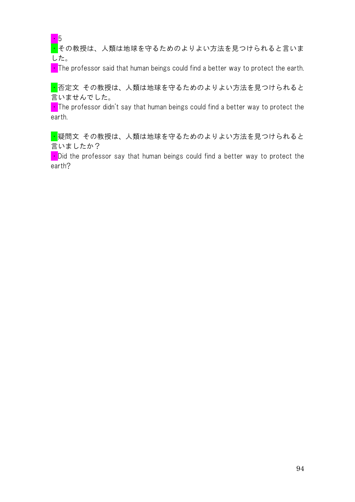・5

■その教授は、人類は地球を守るためのよりよい方法を見つけられると言いま した。

 $\cdot$  The professor said that human beings could find a better way to protect the earth.

<mark>・</mark>否定文 その教授は、人類は地球を守るためのよりよい方法を見つけられると 言いませんでした。

 $\blacksquare$  The professor didn't say that human beings could find a better way to protect the earth.

<mark>・</mark>疑問文 その教授は、人類は地球を守るためのよりよい方法を見つけられると 言いましたか?

 $\blacksquare$  Did the professor say that human beings could find a better way to protect the earth?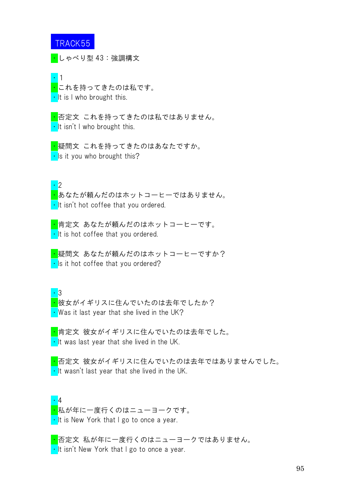・しゃべり型 43:強調構文

・1 ・これを持ってきたのは私です。  $\cdot$  It is I who brought this.

<mark>・</mark>否定文 これを持ってきたのは私ではありません。  $\cdot$  It isn't I who brought this.

<mark>・</mark>疑問文 これを持ってきたのはあなたですか。  $\cdot$  Is it you who brought this?

・2

<mark>・</mark>あなたが頼んだのはホットコーヒーではありません。 **·** It isn't hot coffee that you ordered.

<mark>・</mark>肯定文 あなたが頼んだのはホットコーヒーです。 **·** It is hot coffee that you ordered.

<mark>・</mark>疑問文 あなたが頼んだのはホットコーヒーですか?  $\cdot$  Is it hot coffee that you ordered?

・3 <mark>・</mark>彼女がイギリスに住んでいたのは去年でしたか?  $\cdot$  Was it last year that she lived in the UK?

<mark>・</mark>肯定文 彼女がイギリスに住んでいたのは去年でした。  $\cdot$  It was last year that she lived in the UK.

<mark>・</mark>否定文 彼女がイギリスに住んでいたのは去年ではありませんでした。  $\cdot$  It wasn't last year that she lived in the UK.

・4 <mark>・</mark>私が年に一度行くのはニューヨークです。  $\cdot$  It is New York that I go to once a year.

<mark>・</mark>否定文 私が年に一度行くのはニューヨークではありません。  $\cdot$  It isn't New York that I go to once a year.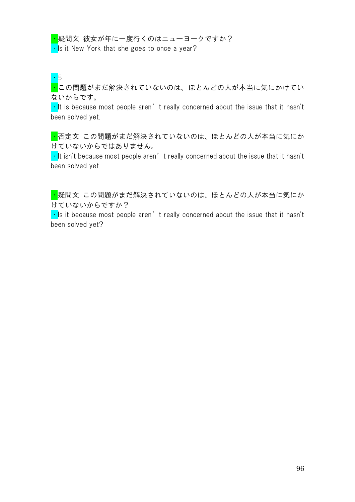<mark>・</mark>疑問文 彼女が年に一度行くのはニューヨークですか?

 $\cdot$  Is it New York that she goes to once a year?

・5

<mark>・</mark>この問題がまだ解決されていないのは、ほとんどの人が本当に気にかけてい ないからです。

 $\cdot$  It is because most people aren't really concerned about the issue that it hasn't been solved yet.

■ 否定文 この問題がまだ解決されていないのは、ほとんどの人が本当に気にか けていないからではありません。

 $\cdot$  It isn't because most people aren't really concerned about the issue that it hasn't been solved yet.

<mark>・</mark>疑問文 この問題がまだ解決されていないのは、ほとんどの人が本当に気にか けていないからですか?

 $\cdot$  Is it because most people aren't really concerned about the issue that it hasn't been solved yet?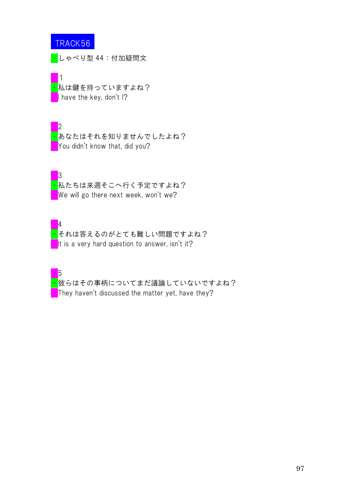・しゃべり型 44:付加疑問文

#### ・1

<mark>・</mark>私は鍵を持っていますよね?  $\blacksquare$  have the key, don't I?

### ・2

ー<br><mark>・</mark>あなたはそれを知りませんでしたよね? You didn't know that, did you?



<mark>・</mark>私たちは来週そこへ行く予定ですよね? • We will go there next week, won't we?



<mark>・</mark>それは答えるのがとても難しい問題ですよね? It is a very hard question to answer, isn't it?

・5 <mark>・</mark>彼らはその事柄についてまだ議論していないですよね?  $\cdot$  They haven't discussed the matter yet, have they?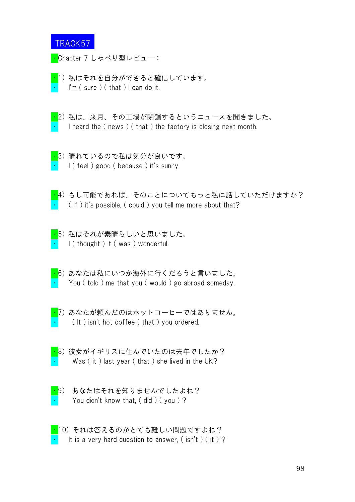

<mark>・</mark>Chapter 7 しゃべり型レビュー:

- <mark>・</mark>1)私はそれを自分ができると確信しています。  $\lim$  (sure ) (that ) I can do it.
- 
- ・2) 私は、来月、その工場が閉鎖するというニュースを聞きました。 I heard the (news) (that) the factory is closing next month.
- ・3) 晴れているので私は気分が良いです。 I ( feel ) good ( because ) it's sunny.
- 
- ・4) もし可能であれば、そのことについてもっと私に話していただけますか?  $($  If  $)$  it's possible,  $($  could  $)$  you tell me more about that?
- ・5) 私はそれが素晴らしいと思いました。 I (thought) it (was) wonderful.
- ・6) あなたは私にいつか海外に行くだろうと言いました。 You (told) me that you (would) go abroad someday.
- 
- ・7) あなたが頼んだのはホットコーヒーではありません。  $($   $|$  t  $)$  isn't hot coffee  $($  that  $)$  you ordered.
- 
- ・8) 彼女がイギリスに住んでいたのは去年でしたか? Was (it) last year (that) she lived in the UK?
- 
- ・9) あなたはそれを知りませんでしたよね? You didn't know that,  $($  did  $)$   $($  you  $)$  ?
- 
- ・10) それは答えるのがとても難しい問題ですよね? It is a very hard question to answer, (  $\sin't$  ) ( it ) ?